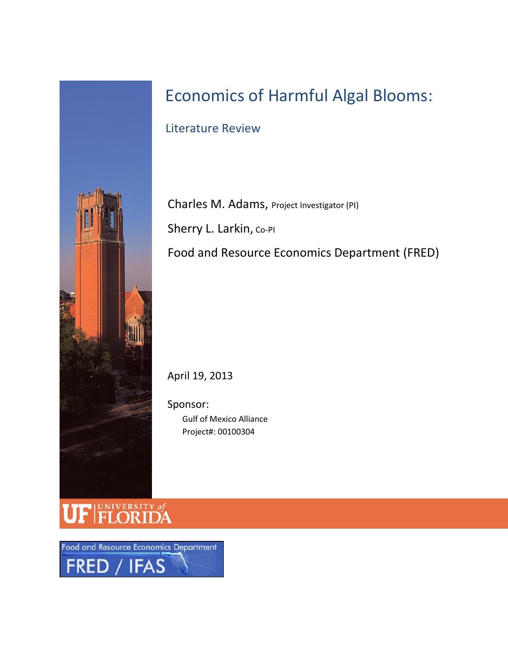

# Economics of Harmful Algal Blooms:

Literature Review

Charles M. Adams, Project Investigator (PI) Sherry L. Larkin, Co-PI Food and Resource Economics Department (FRED)

April 19, 2013

Sponsor: Gulf of Mexico Alliance Project#: 00100304

UNIVERSITY of

Food and Resource Economics Department FRED / IFAS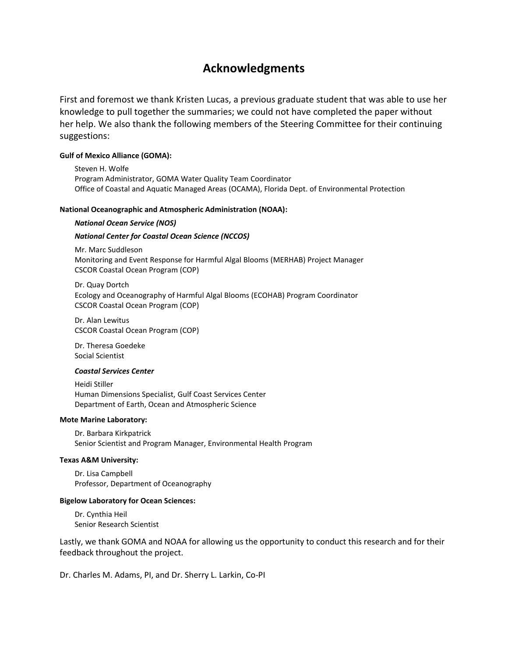## **Acknowledgments**

First and foremost we thank Kristen Lucas, a previous graduate student that was able to use her knowledge to pull together the summaries; we could not have completed the paper without her help. We also thank the following members of the Steering Committee for their continuing suggestions:

#### **Gulf of Mexico Alliance (GOMA):**

Steven H. Wolfe Program Administrator, GOMA Water Quality Team Coordinator Office of Coastal and Aquatic Managed Areas (OCAMA), Florida Dept. of Environmental Protection

#### **National Oceanographic and Atmospheric Administration (NOAA):**

#### *National Ocean Service (NOS)*

#### *National Center for Coastal Ocean Science (NCCOS)*

Mr. Marc Suddleson Monitoring and Event Response for Harmful Algal Blooms (MERHAB) Project Manager CSCOR Coastal Ocean Program (COP)

Dr. Quay Dortch Ecology and Oceanography of Harmful Algal Blooms (ECOHAB) Program Coordinator CSCOR Coastal Ocean Program (COP)

Dr. Alan Lewitus CSCOR Coastal Ocean Program (COP)

Dr. Theresa Goedeke Social Scientist

#### *Coastal Services Center*

Heidi Stiller Human Dimensions Specialist, Gulf Coast Services Center Department of Earth, Ocean and Atmospheric Science

#### **Mote Marine Laboratory:**

Dr. Barbara Kirkpatrick Senior Scientist and Program Manager, Environmental Health Program

#### **Texas A&M University:**

Dr. Lisa Campbell Professor, Department of Oceanography

#### **Bigelow Laboratory for Ocean Sciences:**

Dr. Cynthia Heil Senior Research Scientist

Lastly, we thank GOMA and NOAA for allowing us the opportunity to conduct this research and for their feedback throughout the project.

Dr. Charles M. Adams, PI, and Dr. Sherry L. Larkin, Co-PI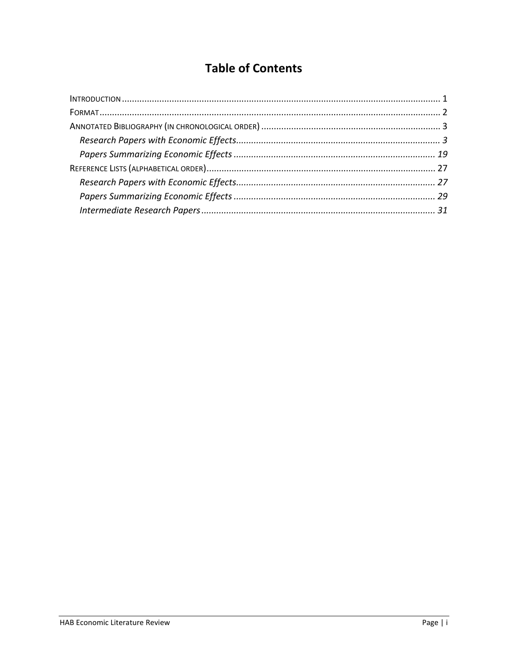## **Table of Contents**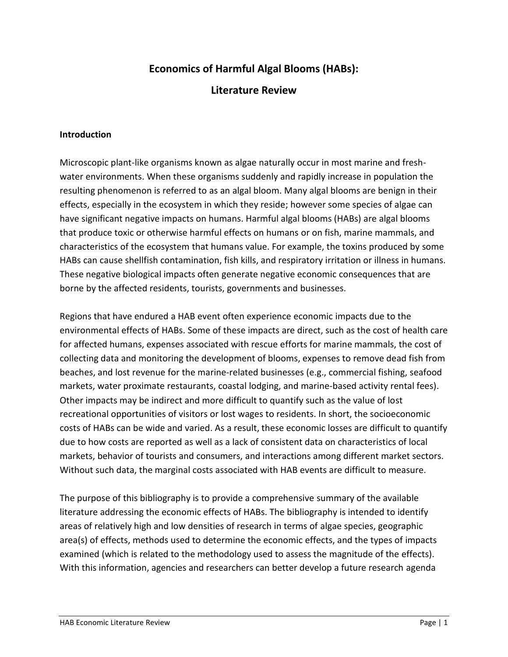## **Economics of Harmful Algal Blooms (HABs):**

## **Literature Review**

#### **Introduction**

Microscopic plant-like organisms known as algae naturally occur in most marine and freshwater environments. When these organisms suddenly and rapidly increase in population the resulting phenomenon is referred to as an algal bloom. Many algal blooms are benign in their effects, especially in the ecosystem in which they reside; however some species of algae can have significant negative impacts on humans. Harmful algal blooms (HABs) are algal blooms that produce toxic or otherwise harmful effects on humans or on fish, marine mammals, and characteristics of the ecosystem that humans value. For example, the toxins produced by some HABs can cause shellfish contamination, fish kills, and respiratory irritation or illness in humans. These negative biological impacts often generate negative economic consequences that are borne by the affected residents, tourists, governments and businesses.

Regions that have endured a HAB event often experience economic impacts due to the environmental effects of HABs. Some of these impacts are direct, such as the cost of health care for affected humans, expenses associated with rescue efforts for marine mammals, the cost of collecting data and monitoring the development of blooms, expenses to remove dead fish from beaches, and lost revenue for the marine-related businesses (e.g., commercial fishing, seafood markets, water proximate restaurants, coastal lodging, and marine-based activity rental fees). Other impacts may be indirect and more difficult to quantify such as the value of lost recreational opportunities of visitors or lost wages to residents. In short, the socioeconomic costs of HABs can be wide and varied. As a result, these economic losses are difficult to quantify due to how costs are reported as well as a lack of consistent data on characteristics of local markets, behavior of tourists and consumers, and interactions among different market sectors. Without such data, the marginal costs associated with HAB events are difficult to measure.

The purpose of this bibliography is to provide a comprehensive summary of the available literature addressing the economic effects of HABs. The bibliography is intended to identify areas of relatively high and low densities of research in terms of algae species, geographic area(s) of effects, methods used to determine the economic effects, and the types of impacts examined (which is related to the methodology used to assess the magnitude of the effects). With this information, agencies and researchers can better develop a future research agenda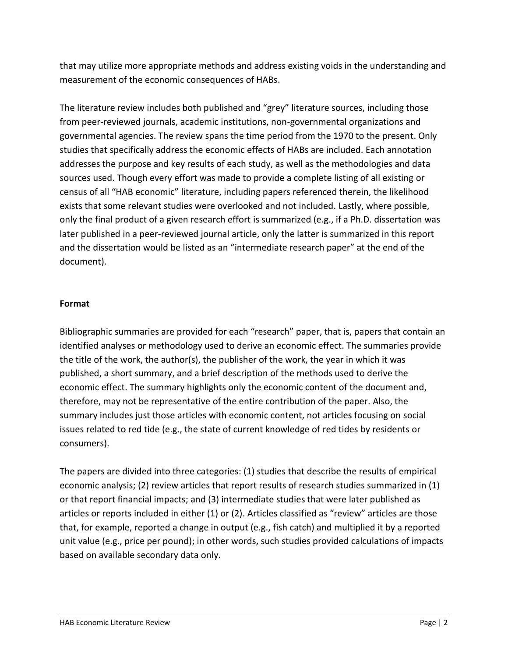that may utilize more appropriate methods and address existing voids in the understanding and measurement of the economic consequences of HABs.

The literature review includes both published and "grey" literature sources, including those from peer-reviewed journals, academic institutions, non-governmental organizations and governmental agencies. The review spans the time period from the 1970 to the present. Only studies that specifically address the economic effects of HABs are included. Each annotation addresses the purpose and key results of each study, as well as the methodologies and data sources used. Though every effort was made to provide a complete listing of all existing or census of all "HAB economic" literature, including papers referenced therein, the likelihood exists that some relevant studies were overlooked and not included. Lastly, where possible, only the final product of a given research effort is summarized (e.g., if a Ph.D. dissertation was later published in a peer-reviewed journal article, only the latter is summarized in this report and the dissertation would be listed as an "intermediate research paper" at the end of the document).

## **Format**

Bibliographic summaries are provided for each "research" paper, that is, papers that contain an identified analyses or methodology used to derive an economic effect. The summaries provide the title of the work, the author(s), the publisher of the work, the year in which it was published, a short summary, and a brief description of the methods used to derive the economic effect. The summary highlights only the economic content of the document and, therefore, may not be representative of the entire contribution of the paper. Also, the summary includes just those articles with economic content, not articles focusing on social issues related to red tide (e.g., the state of current knowledge of red tides by residents or consumers).

The papers are divided into three categories: (1) studies that describe the results of empirical economic analysis; (2) review articles that report results of research studies summarized in (1) or that report financial impacts; and (3) intermediate studies that were later published as articles or reports included in either (1) or (2). Articles classified as "review" articles are those that, for example, reported a change in output (e.g., fish catch) and multiplied it by a reported unit value (e.g., price per pound); in other words, such studies provided calculations of impacts based on available secondary data only.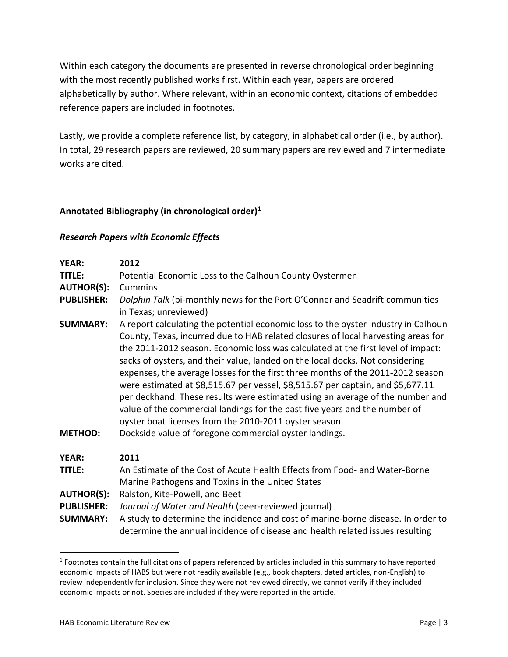Within each category the documents are presented in reverse chronological order beginning with the most recently published works first. Within each year, papers are ordered alphabetically by author. Where relevant, within an economic context, citations of embedded reference papers are included in footnotes.

Lastly, we provide a complete reference list, by category, in alphabetical order (i.e., by author). In total, 29 research papers are reviewed, 20 summary papers are reviewed and 7 intermediate works are cited.

#### **Annotated Bibliography (in chronological order)<sup>1</sup>**

#### *Research Papers with Economic Effects*

| YEAR:<br>TITLE:<br><b>AUTHOR(S):</b><br><b>PUBLISHER:</b>                           | 2012<br>Potential Economic Loss to the Calhoun County Oystermen<br>Cummins<br>Dolphin Talk (bi-monthly news for the Port O'Conner and Seadrift communities<br>in Texas; unreviewed)                                                                                                                                                                                                                                                                                                                                                                                                                                                                                                                                                                                                                   |
|-------------------------------------------------------------------------------------|-------------------------------------------------------------------------------------------------------------------------------------------------------------------------------------------------------------------------------------------------------------------------------------------------------------------------------------------------------------------------------------------------------------------------------------------------------------------------------------------------------------------------------------------------------------------------------------------------------------------------------------------------------------------------------------------------------------------------------------------------------------------------------------------------------|
| <b>SUMMARY:</b><br><b>METHOD:</b>                                                   | A report calculating the potential economic loss to the oyster industry in Calhoun<br>County, Texas, incurred due to HAB related closures of local harvesting areas for<br>the 2011-2012 season. Economic loss was calculated at the first level of impact:<br>sacks of oysters, and their value, landed on the local docks. Not considering<br>expenses, the average losses for the first three months of the 2011-2012 season<br>were estimated at \$8,515.67 per vessel, \$8,515.67 per captain, and \$5,677.11<br>per deckhand. These results were estimated using an average of the number and<br>value of the commercial landings for the past five years and the number of<br>oyster boat licenses from the 2010-2011 oyster season.<br>Dockside value of foregone commercial oyster landings. |
| <b>YEAR:</b><br>TITLE:<br><b>AUTHOR(S):</b><br><b>PUBLISHER:</b><br><b>SUMMARY:</b> | 2011<br>An Estimate of the Cost of Acute Health Effects from Food- and Water-Borne<br>Marine Pathogens and Toxins in the United States<br>Ralston, Kite-Powell, and Beet<br>Journal of Water and Health (peer-reviewed journal)<br>A study to determine the incidence and cost of marine-borne disease. In order to<br>determine the annual incidence of disease and health related issues resulting                                                                                                                                                                                                                                                                                                                                                                                                  |

<sup>&</sup>lt;sup>1</sup> Footnotes contain the full citations of papers referenced by articles included in this summary to have reported economic impacts of HABS but were not readily available (e.g., book chapters, dated articles, non-English) to review independently for inclusion. Since they were not reviewed directly, we cannot verify if they included economic impacts or not. Species are included if they were reported in the article.

 $\overline{a}$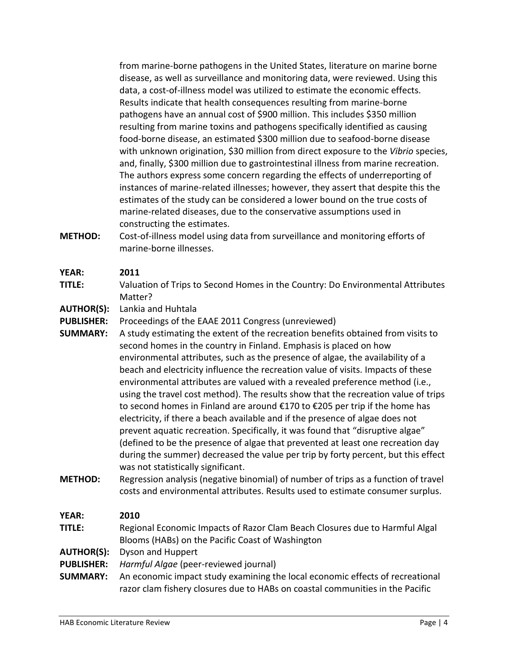from marine-borne pathogens in the United States, literature on marine borne disease, as well as surveillance and monitoring data, were reviewed. Using this data, a cost-of-illness model was utilized to estimate the economic effects. Results indicate that health consequences resulting from marine-borne pathogens have an annual cost of \$900 million. This includes \$350 million resulting from marine toxins and pathogens specifically identified as causing food-borne disease, an estimated \$300 million due to seafood-borne disease with unknown origination, \$30 million from direct exposure to the *Vibrio* species, and, finally, \$300 million due to gastrointestinal illness from marine recreation. The authors express some concern regarding the effects of underreporting of instances of marine-related illnesses; however, they assert that despite this the estimates of the study can be considered a lower bound on the true costs of marine-related diseases, due to the conservative assumptions used in constructing the estimates.

**METHOD:** Cost-of-illness model using data from surveillance and monitoring efforts of marine-borne illnesses.

#### **YEAR: 2011**

- **TITLE:** Valuation of Trips to Second Homes in the Country: Do Environmental Attributes Matter?
- **AUTHOR(S):** Lankia and Huhtala
- **PUBLISHER:** Proceedings of the EAAE 2011 Congress (unreviewed)
- **SUMMARY:** A study estimating the extent of the recreation benefits obtained from visits to second homes in the country in Finland. Emphasis is placed on how environmental attributes, such as the presence of algae, the availability of a beach and electricity influence the recreation value of visits. Impacts of these environmental attributes are valued with a revealed preference method (i.e., using the travel cost method). The results show that the recreation value of trips to second homes in Finland are around €170 to €205 per trip if the home has electricity, if there a beach available and if the presence of algae does not prevent aquatic recreation. Specifically, it was found that "disruptive algae" (defined to be the presence of algae that prevented at least one recreation day during the summer) decreased the value per trip by forty percent, but this effect was not statistically significant.
- **METHOD:** Regression analysis (negative binomial) of number of trips as a function of travel costs and environmental attributes. Results used to estimate consumer surplus.

#### **YEAR: 2010**

- **TITLE:** Regional Economic Impacts of Razor Clam Beach Closures due to Harmful Algal Blooms (HABs) on the Pacific Coast of Washington
- **AUTHOR(S):** Dyson and Huppert
- **PUBLISHER:** *Harmful Algae* (peer-reviewed journal)
- **SUMMARY:** An economic impact study examining the local economic effects of recreational razor clam fishery closures due to HABs on coastal communities in the Pacific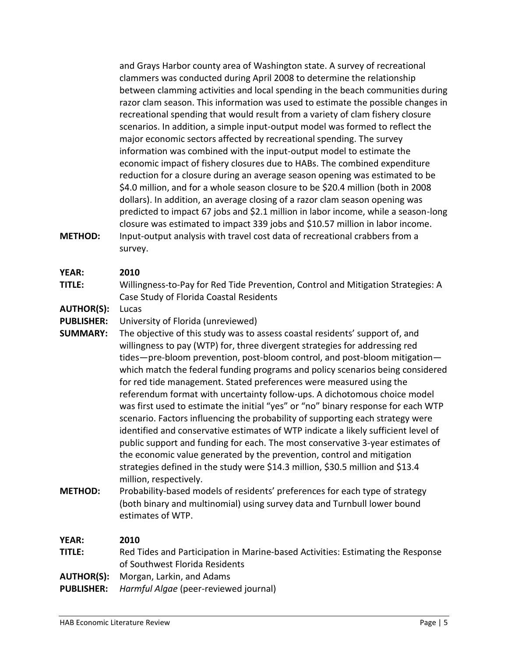and Grays Harbor county area of Washington state. A survey of recreational clammers was conducted during April 2008 to determine the relationship between clamming activities and local spending in the beach communities during razor clam season. This information was used to estimate the possible changes in recreational spending that would result from a variety of clam fishery closure scenarios. In addition, a simple input-output model was formed to reflect the major economic sectors affected by recreational spending. The survey information was combined with the input-output model to estimate the economic impact of fishery closures due to HABs. The combined expenditure reduction for a closure during an average season opening was estimated to be \$4.0 million, and for a whole season closure to be \$20.4 million (both in 2008 dollars). In addition, an average closing of a razor clam season opening was predicted to impact 67 jobs and \$2.1 million in labor income, while a season-long closure was estimated to impact 339 jobs and \$10.57 million in labor income. **METHOD:** Input-output analysis with travel cost data of recreational crabbers from a survey.

#### **YEAR: 2010**

- **TITLE:** Willingness-to-Pay for Red Tide Prevention, Control and Mitigation Strategies: A Case Study of Florida Coastal Residents
- **AUTHOR(S):** Lucas

**PUBLISHER:** University of Florida (unreviewed)

- **SUMMARY:** The objective of this study was to assess coastal residents' support of, and willingness to pay (WTP) for, three divergent strategies for addressing red tides—pre-bloom prevention, post-bloom control, and post-bloom mitigation which match the federal funding programs and policy scenarios being considered for red tide management. Stated preferences were measured using the referendum format with uncertainty follow-ups. A dichotomous choice model was first used to estimate the initial "yes" or "no" binary response for each WTP scenario. Factors influencing the probability of supporting each strategy were identified and conservative estimates of WTP indicate a likely sufficient level of public support and funding for each. The most conservative 3-year estimates of the economic value generated by the prevention, control and mitigation strategies defined in the study were \$14.3 million, \$30.5 million and \$13.4 million, respectively.
- **METHOD:** Probability-based models of residents' preferences for each type of strategy (both binary and multinomial) using survey data and Turnbull lower bound estimates of WTP.

| YEAR:             | 2010                                                                            |
|-------------------|---------------------------------------------------------------------------------|
| TITLE:            | Red Tides and Participation in Marine-based Activities: Estimating the Response |
|                   | of Southwest Florida Residents                                                  |
|                   | <b>AUTHOR(S):</b> Morgan, Larkin, and Adams                                     |
| <b>PUBLISHER:</b> | <i>Harmful Algae</i> (peer-reviewed journal)                                    |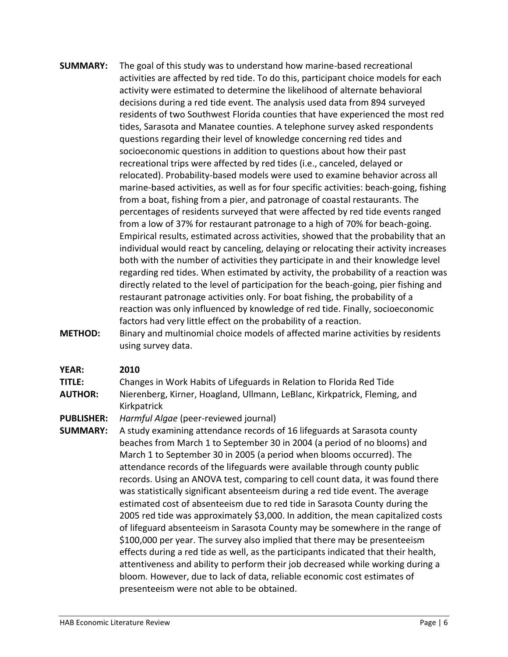- **SUMMARY:** The goal of this study was to understand how marine-based recreational activities are affected by red tide. To do this, participant choice models for each activity were estimated to determine the likelihood of alternate behavioral decisions during a red tide event. The analysis used data from 894 surveyed residents of two Southwest Florida counties that have experienced the most red tides, Sarasota and Manatee counties. A telephone survey asked respondents questions regarding their level of knowledge concerning red tides and socioeconomic questions in addition to questions about how their past recreational trips were affected by red tides (i.e., canceled, delayed or relocated). Probability-based models were used to examine behavior across all marine-based activities, as well as for four specific activities: beach-going, fishing from a boat, fishing from a pier, and patronage of coastal restaurants. The percentages of residents surveyed that were affected by red tide events ranged from a low of 37% for restaurant patronage to a high of 70% for beach-going. Empirical results, estimated across activities, showed that the probability that an individual would react by canceling, delaying or relocating their activity increases both with the number of activities they participate in and their knowledge level regarding red tides. When estimated by activity, the probability of a reaction was directly related to the level of participation for the beach-going, pier fishing and restaurant patronage activities only. For boat fishing, the probability of a reaction was only influenced by knowledge of red tide. Finally, socioeconomic factors had very little effect on the probability of a reaction.
- **METHOD:** Binary and multinomial choice models of affected marine activities by residents using survey data.

- **TITLE:** Changes in Work Habits of Lifeguards in Relation to Florida Red Tide **AUTHOR:** Nierenberg, Kirner, Hoagland, Ullmann, LeBlanc, Kirkpatrick, Fleming, and
- Kirkpatrick
- **PUBLISHER:** *Harmful Algae* (peer-reviewed journal)
- **SUMMARY:** A study examining attendance records of 16 lifeguards at Sarasota county beaches from March 1 to September 30 in 2004 (a period of no blooms) and March 1 to September 30 in 2005 (a period when blooms occurred). The attendance records of the lifeguards were available through county public records. Using an ANOVA test, comparing to cell count data, it was found there was statistically significant absenteeism during a red tide event. The average estimated cost of absenteeism due to red tide in Sarasota County during the 2005 red tide was approximately \$3,000. In addition, the mean capitalized costs of lifeguard absenteeism in Sarasota County may be somewhere in the range of \$100,000 per year. The survey also implied that there may be presenteeism effects during a red tide as well, as the participants indicated that their health, attentiveness and ability to perform their job decreased while working during a bloom. However, due to lack of data, reliable economic cost estimates of presenteeism were not able to be obtained.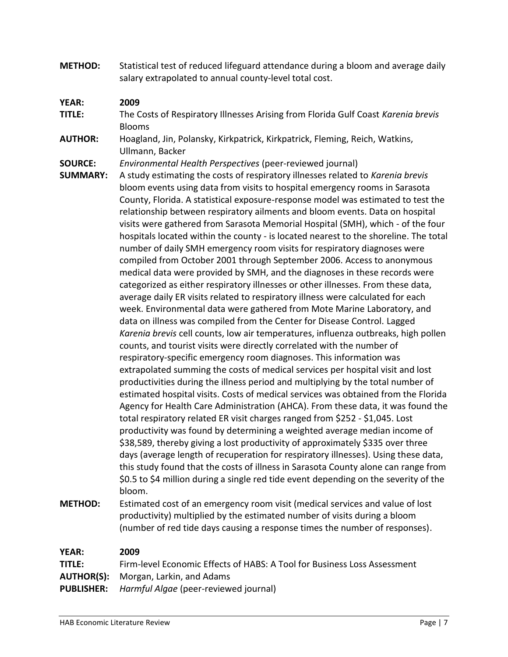**METHOD:** Statistical test of reduced lifeguard attendance during a bloom and average daily salary extrapolated to annual county-level total cost.

#### **YEAR: 2009**

- **TITLE:** The Costs of Respiratory Illnesses Arising from Florida Gulf Coast *Karenia brevis* Blooms
- **AUTHOR:** Hoagland, Jin, Polansky, Kirkpatrick, Kirkpatrick, Fleming, Reich, Watkins, Ullmann, Backer

**SOURCE:** *Environmental Health Perspectives* (peer-reviewed journal)

- **SUMMARY:** A study estimating the costs of respiratory illnesses related to *Karenia brevis* bloom events using data from visits to hospital emergency rooms in Sarasota County, Florida. A statistical exposure-response model was estimated to test the relationship between respiratory ailments and bloom events. Data on hospital visits were gathered from Sarasota Memorial Hospital (SMH), which - of the four hospitals located within the county - is located nearest to the shoreline. The total number of daily SMH emergency room visits for respiratory diagnoses were compiled from October 2001 through September 2006. Access to anonymous medical data were provided by SMH, and the diagnoses in these records were categorized as either respiratory illnesses or other illnesses. From these data, average daily ER visits related to respiratory illness were calculated for each week. Environmental data were gathered from Mote Marine Laboratory, and data on illness was compiled from the Center for Disease Control. Lagged *Karenia brevis* cell counts, low air temperatures, influenza outbreaks, high pollen counts, and tourist visits were directly correlated with the number of respiratory-specific emergency room diagnoses. This information was extrapolated summing the costs of medical services per hospital visit and lost productivities during the illness period and multiplying by the total number of estimated hospital visits. Costs of medical services was obtained from the Florida Agency for Health Care Administration (AHCA). From these data, it was found the total respiratory related ER visit charges ranged from \$252 - \$1,045. Lost productivity was found by determining a weighted average median income of \$38,589, thereby giving a lost productivity of approximately \$335 over three days (average length of recuperation for respiratory illnesses). Using these data, this study found that the costs of illness in Sarasota County alone can range from \$0.5 to \$4 million during a single red tide event depending on the severity of the bloom.
- **METHOD:** Estimated cost of an emergency room visit (medical services and value of lost productivity) multiplied by the estimated number of visits during a bloom (number of red tide days causing a response times the number of responses).

| <b>YEAR:</b> | 2009                                                                     |
|--------------|--------------------------------------------------------------------------|
| TITLE:       | Firm-level Economic Effects of HABS: A Tool for Business Loss Assessment |
|              | <b>AUTHOR(S):</b> Morgan, Larkin, and Adams                              |
|              | <b>PUBLISHER:</b> Harmful Algae (peer-reviewed journal)                  |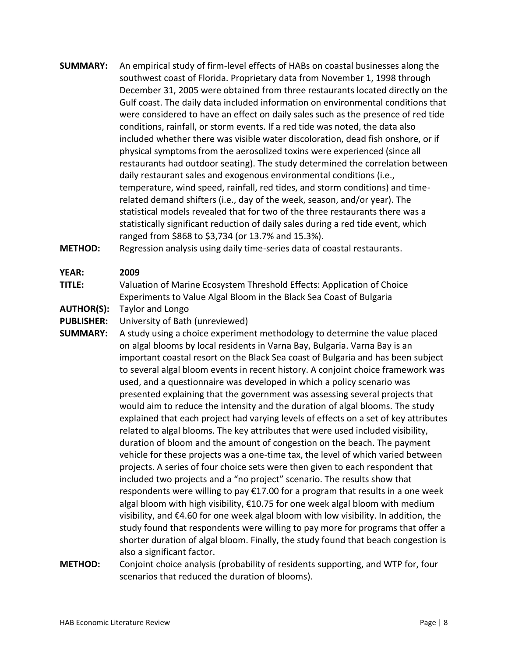- **SUMMARY:** An empirical study of firm-level effects of HABs on coastal businesses along the southwest coast of Florida. Proprietary data from November 1, 1998 through December 31, 2005 were obtained from three restaurants located directly on the Gulf coast. The daily data included information on environmental conditions that were considered to have an effect on daily sales such as the presence of red tide conditions, rainfall, or storm events. If a red tide was noted, the data also included whether there was visible water discoloration, dead fish onshore, or if physical symptoms from the aerosolized toxins were experienced (since all restaurants had outdoor seating). The study determined the correlation between daily restaurant sales and exogenous environmental conditions (i.e., temperature, wind speed, rainfall, red tides, and storm conditions) and timerelated demand shifters (i.e., day of the week, season, and/or year). The statistical models revealed that for two of the three restaurants there was a statistically significant reduction of daily sales during a red tide event, which ranged from \$868 to \$3,734 (or 13.7% and 15.3%).
- **METHOD:** Regression analysis using daily time-series data of coastal restaurants.

**TITLE:** Valuation of Marine Ecosystem Threshold Effects: Application of Choice Experiments to Value Algal Bloom in the Black Sea Coast of Bulgaria

**AUTHOR(S):** Taylor and Longo

**PUBLISHER:** University of Bath (unreviewed)

**SUMMARY:** A study using a choice experiment methodology to determine the value placed on algal blooms by local residents in Varna Bay, Bulgaria. Varna Bay is an important coastal resort on the Black Sea coast of Bulgaria and has been subject to several algal bloom events in recent history. A conjoint choice framework was used, and a questionnaire was developed in which a policy scenario was presented explaining that the government was assessing several projects that would aim to reduce the intensity and the duration of algal blooms. The study explained that each project had varying levels of effects on a set of key attributes related to algal blooms. The key attributes that were used included visibility, duration of bloom and the amount of congestion on the beach. The payment vehicle for these projects was a one-time tax, the level of which varied between projects. A series of four choice sets were then given to each respondent that included two projects and a "no project" scenario. The results show that respondents were willing to pay €17.00 for a program that results in a one week algal bloom with high visibility,  $\epsilon$ 10.75 for one week algal bloom with medium visibility, and €4.60 for one week algal bloom with low visibility. In addition, the study found that respondents were willing to pay more for programs that offer a shorter duration of algal bloom. Finally, the study found that beach congestion is also a significant factor.

**METHOD:** Conjoint choice analysis (probability of residents supporting, and WTP for, four scenarios that reduced the duration of blooms).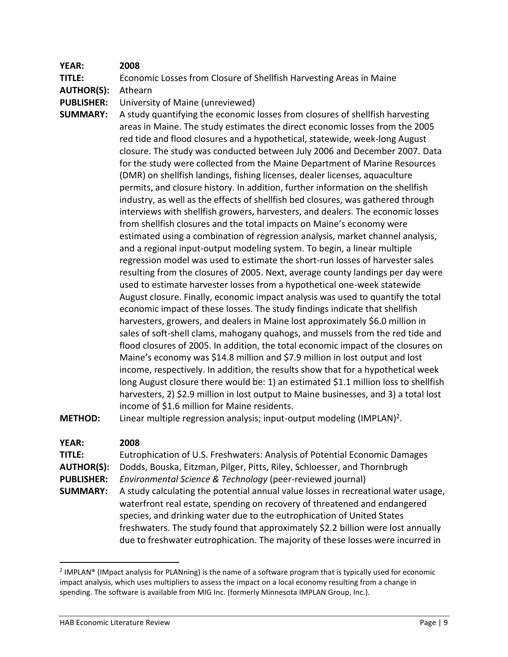**TITLE:** Economic Losses from Closure of Shellfish Harvesting Areas in Maine

**AUTHOR(S):** Athearn

**PUBLISHER:** University of Maine (unreviewed)

**SUMMARY:** A study quantifying the economic losses from closures of shellfish harvesting areas in Maine. The study estimates the direct economic losses from the 2005 red tide and flood closures and a hypothetical, statewide, week-long August closure. The study was conducted between July 2006 and December 2007. Data for the study were collected from the Maine Department of Marine Resources (DMR) on shellfish landings, fishing licenses, dealer licenses, aquaculture permits, and closure history. In addition, further information on the shellfish industry, as well as the effects of shellfish bed closures, was gathered through interviews with shellfish growers, harvesters, and dealers. The economic losses from shellfish closures and the total impacts on Maine's economy were estimated using a combination of regression analysis, market channel analysis, and a regional input-output modeling system. To begin, a linear multiple regression model was used to estimate the short-run losses of harvester sales resulting from the closures of 2005. Next, average county landings per day were used to estimate harvester losses from a hypothetical one-week statewide August closure. Finally, economic impact analysis was used to quantify the total economic impact of these losses. The study findings indicate that shellfish harvesters, growers, and dealers in Maine lost approximately \$6.0 million in sales of soft-shell clams, mahogany quahogs, and mussels from the red tide and flood closures of 2005. In addition, the total economic impact of the closures on Maine's economy was \$14.8 million and \$7.9 million in lost output and lost income, respectively. In addition, the results show that for a hypothetical week long August closure there would be: 1) an estimated \$1.1 million loss to shellfish harvesters, 2) \$2.9 million in lost output to Maine businesses, and 3) a total lost income of \$1.6 million for Maine residents.

**METHOD:** Linear multiple regression analysis; input-output modeling (IMPLAN)<sup>2</sup>.

#### **YEAR: 2008**

 $\overline{\phantom{a}}$ 

**TITLE:** Eutrophication of U.S. Freshwaters: Analysis of Potential Economic Damages **AUTHOR(S):** Dodds, Bouska, Eitzman, Pilger, Pitts, Riley, Schloesser, and Thornbrugh **PUBLISHER:** *Environmental Science & Technology* (peer-reviewed journal) **SUMMARY:** A study calculating the potential annual value losses in recreational water usage, waterfront real estate, spending on recovery of threatened and endangered species, and drinking water due to the eutrophication of United States freshwaters. The study found that approximately \$2.2 billion were lost annually due to freshwater eutrophication. The majority of these losses were incurred in

<sup>&</sup>lt;sup>2</sup> IMPLAN® (IMpact analysis for PLANning) is the name of a software program that is typically used for economic impact analysis, which uses multipliers to assess the impact on a local economy resulting from a change in spending. The software is available from MIG Inc. (formerly Minnesota IMPLAN Group, Inc.).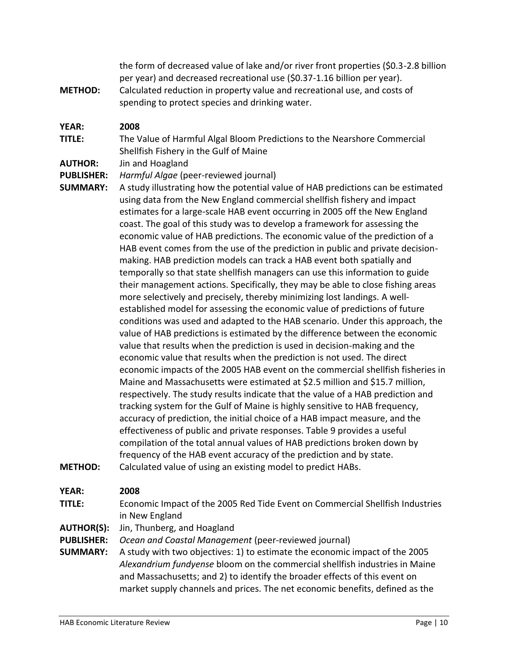the form of decreased value of lake and/or river front properties (\$0.3-2.8 billion per year) and decreased recreational use (\$0.37-1.16 billion per year).

**METHOD:** Calculated reduction in property value and recreational use, and costs of spending to protect species and drinking water.

#### **YEAR: 2008**

**TITLE:** The Value of Harmful Algal Bloom Predictions to the Nearshore Commercial Shellfish Fishery in the Gulf of Maine

#### **AUTHOR:** Jin and Hoagland

**PUBLISHER:** *Harmful Algae* (peer-reviewed journal)

**SUMMARY:** A study illustrating how the potential value of HAB predictions can be estimated using data from the New England commercial shellfish fishery and impact estimates for a large-scale HAB event occurring in 2005 off the New England coast. The goal of this study was to develop a framework for assessing the economic value of HAB predictions. The economic value of the prediction of a HAB event comes from the use of the prediction in public and private decisionmaking. HAB prediction models can track a HAB event both spatially and temporally so that state shellfish managers can use this information to guide their management actions. Specifically, they may be able to close fishing areas more selectively and precisely, thereby minimizing lost landings. A wellestablished model for assessing the economic value of predictions of future conditions was used and adapted to the HAB scenario. Under this approach, the value of HAB predictions is estimated by the difference between the economic value that results when the prediction is used in decision-making and the economic value that results when the prediction is not used. The direct economic impacts of the 2005 HAB event on the commercial shellfish fisheries in Maine and Massachusetts were estimated at \$2.5 million and \$15.7 million, respectively. The study results indicate that the value of a HAB prediction and tracking system for the Gulf of Maine is highly sensitive to HAB frequency, accuracy of prediction, the initial choice of a HAB impact measure, and the effectiveness of public and private responses. Table 9 provides a useful compilation of the total annual values of HAB predictions broken down by frequency of the HAB event accuracy of the prediction and by state. **METHOD:** Calculated value of using an existing model to predict HABs.

#### **YEAR: 2008**

- **TITLE:** Economic Impact of the 2005 Red Tide Event on Commercial Shellfish Industries in New England
- **AUTHOR(S):** Jin, Thunberg, and Hoagland

**PUBLISHER:** *Ocean and Coastal Management* (peer-reviewed journal)

**SUMMARY:** A study with two objectives: 1) to estimate the economic impact of the 2005 *Alexandrium fundyense* bloom on the commercial shellfish industries in Maine and Massachusetts; and 2) to identify the broader effects of this event on market supply channels and prices. The net economic benefits, defined as the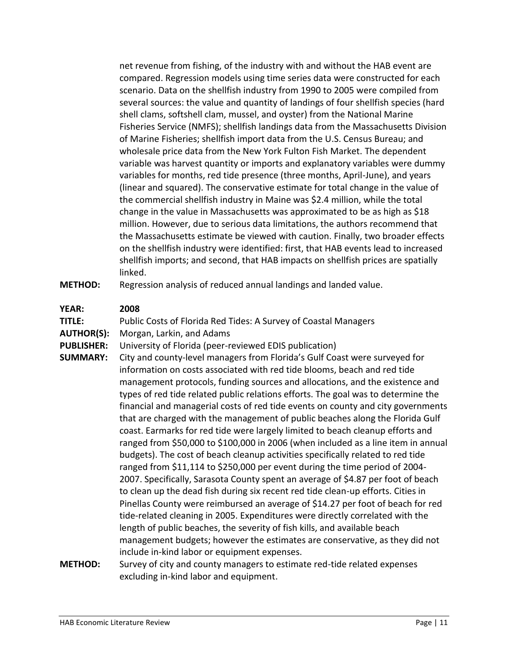net revenue from fishing, of the industry with and without the HAB event are compared. Regression models using time series data were constructed for each scenario. Data on the shellfish industry from 1990 to 2005 were compiled from several sources: the value and quantity of landings of four shellfish species (hard shell clams, softshell clam, mussel, and oyster) from the National Marine Fisheries Service (NMFS); shellfish landings data from the Massachusetts Division of Marine Fisheries; shellfish import data from the U.S. Census Bureau; and wholesale price data from the New York Fulton Fish Market. The dependent variable was harvest quantity or imports and explanatory variables were dummy variables for months, red tide presence (three months, April-June), and years (linear and squared). The conservative estimate for total change in the value of the commercial shellfish industry in Maine was \$2.4 million, while the total change in the value in Massachusetts was approximated to be as high as \$18 million. However, due to serious data limitations, the authors recommend that the Massachusetts estimate be viewed with caution. Finally, two broader effects on the shellfish industry were identified: first, that HAB events lead to increased shellfish imports; and second, that HAB impacts on shellfish prices are spatially linked.

**METHOD:** Regression analysis of reduced annual landings and landed value.

#### **YEAR: 2008**

**TITLE:** Public Costs of Florida Red Tides: A Survey of Coastal Managers

**AUTHOR(S):** Morgan, Larkin, and Adams

**PUBLISHER:** University of Florida (peer-reviewed EDIS publication)

- **SUMMARY:** City and county-level managers from Florida's Gulf Coast were surveyed for information on costs associated with red tide blooms, beach and red tide management protocols, funding sources and allocations, and the existence and types of red tide related public relations efforts. The goal was to determine the financial and managerial costs of red tide events on county and city governments that are charged with the management of public beaches along the Florida Gulf coast. Earmarks for red tide were largely limited to beach cleanup efforts and ranged from \$50,000 to \$100,000 in 2006 (when included as a line item in annual budgets). The cost of beach cleanup activities specifically related to red tide ranged from \$11,114 to \$250,000 per event during the time period of 2004- 2007. Specifically, Sarasota County spent an average of \$4.87 per foot of beach to clean up the dead fish during six recent red tide clean-up efforts. Cities in Pinellas County were reimbursed an average of \$14.27 per foot of beach for red tide-related cleaning in 2005. Expenditures were directly correlated with the length of public beaches, the severity of fish kills, and available beach management budgets; however the estimates are conservative, as they did not include in-kind labor or equipment expenses.
- **METHOD:** Survey of city and county managers to estimate red-tide related expenses excluding in-kind labor and equipment.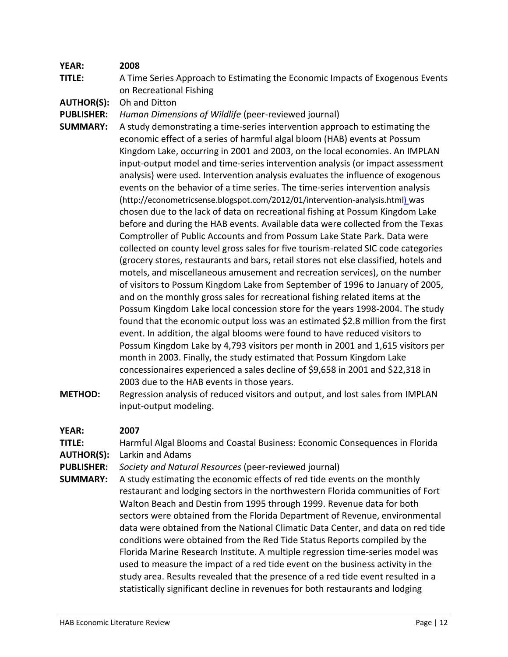**TITLE:** A Time Series Approach to Estimating the Economic Impacts of Exogenous Events on Recreational Fishing

**AUTHOR(S):** Oh and Ditton

- **PUBLISHER:** *Human Dimensions of Wildlife* (peer-reviewed journal)
- **SUMMARY:** A study demonstrating a time-series intervention approach to estimating the economic effect of a series of harmful algal bloom (HAB) events at Possum Kingdom Lake, occurring in 2001 and 2003, on the local economies. An IMPLAN input-output model and time-series intervention analysis (or impact assessment analysis) were used. Intervention analysis evaluates the influence of exogenous events on the behavior of a time series. The time-series intervention analysis (http://econometricsense.blogspot.com/2012/01/intervention-analysis.html) was chosen due to the lack of data on recreational fishing at Possum Kingdom Lake before and during the HAB events. Available data were collected from the Texas Comptroller of Public Accounts and from Possum Lake State Park. Data were collected on county level gross sales for five tourism-related SIC code categories (grocery stores, restaurants and bars, retail stores not else classified, hotels and motels, and miscellaneous amusement and recreation services), on the number of visitors to Possum Kingdom Lake from September of 1996 to January of 2005, and on the monthly gross sales for recreational fishing related items at the Possum Kingdom Lake local concession store for the years 1998-2004. The study found that the economic output loss was an estimated \$2.8 million from the first event. In addition, the algal blooms were found to have reduced visitors to Possum Kingdom Lake by 4,793 visitors per month in 2001 and 1,615 visitors per month in 2003. Finally, the study estimated that Possum Kingdom Lake concessionaires experienced a sales decline of \$9,658 in 2001 and \$22,318 in 2003 due to the HAB events in those years.
- **METHOD:** Regression analysis of reduced visitors and output, and lost sales from IMPLAN input-output modeling.

#### **YEAR: 2007**

**TITLE:** Harmful Algal Blooms and Coastal Business: Economic Consequences in Florida **AUTHOR(S):** Larkin and Adams

**PUBLISHER:** *Society and Natural Resources* (peer-reviewed journal)

**SUMMARY:** A study estimating the economic effects of red tide events on the monthly restaurant and lodging sectors in the northwestern Florida communities of Fort Walton Beach and Destin from 1995 through 1999. Revenue data for both sectors were obtained from the Florida Department of Revenue, environmental data were obtained from the National Climatic Data Center, and data on red tide conditions were obtained from the Red Tide Status Reports compiled by the Florida Marine Research Institute. A multiple regression time-series model was used to measure the impact of a red tide event on the business activity in the study area. Results revealed that the presence of a red tide event resulted in a statistically significant decline in revenues for both restaurants and lodging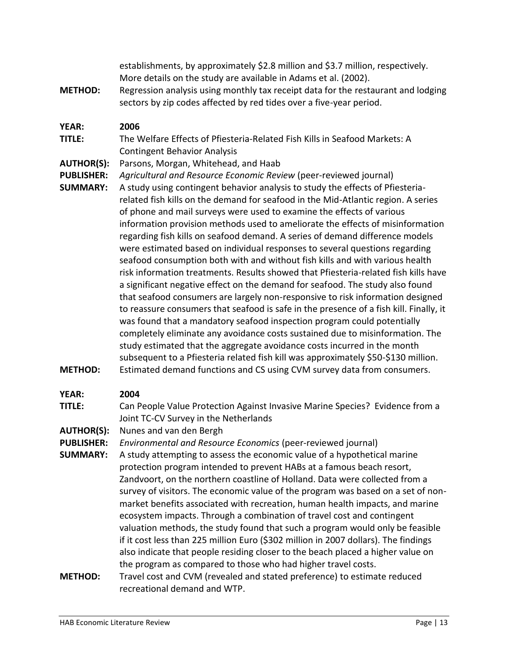establishments, by approximately \$2.8 million and \$3.7 million, respectively. More details on the study are available in Adams et al. (2002).

**METHOD:** Regression analysis using monthly tax receipt data for the restaurant and lodging sectors by zip codes affected by red tides over a five-year period.

#### **YEAR: 2006**

- **TITLE:** The Welfare Effects of Pfiesteria-Related Fish Kills in Seafood Markets: A Contingent Behavior Analysis
- **AUTHOR(S):** Parsons, Morgan, Whitehead, and Haab
- **PUBLISHER:** *Agricultural and Resource Economic Review* (peer-reviewed journal)
- **SUMMARY:** A study using contingent behavior analysis to study the effects of Pfiesteriarelated fish kills on the demand for seafood in the Mid-Atlantic region. A series of phone and mail surveys were used to examine the effects of various information provision methods used to ameliorate the effects of misinformation regarding fish kills on seafood demand. A series of demand difference models were estimated based on individual responses to several questions regarding seafood consumption both with and without fish kills and with various health risk information treatments. Results showed that Pfiesteria-related fish kills have a significant negative effect on the demand for seafood. The study also found that seafood consumers are largely non-responsive to risk information designed to reassure consumers that seafood is safe in the presence of a fish kill. Finally, it was found that a mandatory seafood inspection program could potentially completely eliminate any avoidance costs sustained due to misinformation. The study estimated that the aggregate avoidance costs incurred in the month subsequent to a Pfiesteria related fish kill was approximately \$50-\$130 million. **METHOD:** Estimated demand functions and CS using CVM survey data from consumers.

#### **YEAR: 2004**

- **TITLE:** Can People Value Protection Against Invasive Marine Species? Evidence from a Joint TC-CV Survey in the Netherlands
- **AUTHOR(S):** Nunes and van den Bergh
- **PUBLISHER:** *Environmental and Resource Economics* (peer-reviewed journal)
- **SUMMARY:** A study attempting to assess the economic value of a hypothetical marine protection program intended to prevent HABs at a famous beach resort, Zandvoort, on the northern coastline of Holland. Data were collected from a survey of visitors. The economic value of the program was based on a set of nonmarket benefits associated with recreation, human health impacts, and marine ecosystem impacts. Through a combination of travel cost and contingent valuation methods, the study found that such a program would only be feasible if it cost less than 225 million Euro (\$302 million in 2007 dollars). The findings also indicate that people residing closer to the beach placed a higher value on the program as compared to those who had higher travel costs.
- **METHOD:** Travel cost and CVM (revealed and stated preference) to estimate reduced recreational demand and WTP.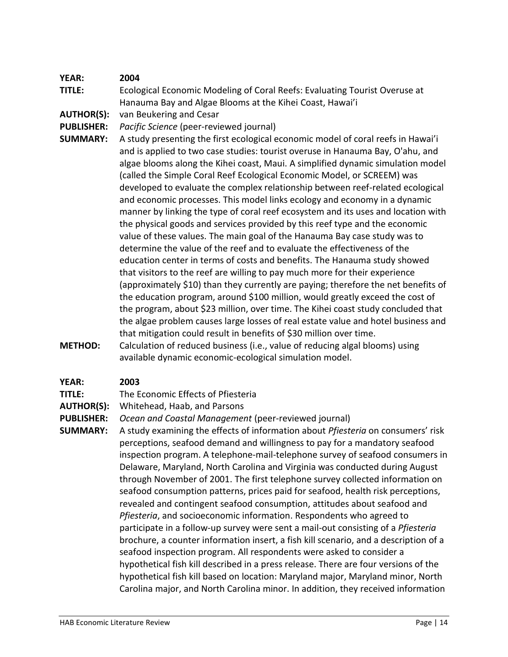**TITLE:** Ecological Economic Modeling of Coral Reefs: Evaluating Tourist Overuse at Hanauma Bay and Algae Blooms at the Kihei Coast, Hawai'i

**AUTHOR(S):** van Beukering and Cesar

**PUBLISHER:** *Pacific Science* (peer-reviewed journal)

- **SUMMARY:** A study presenting the first ecological economic model of coral reefs in Hawai'i and is applied to two case studies: tourist overuse in Hanauma Bay, O'ahu, and algae blooms along the Kihei coast, Maui. A simplified dynamic simulation model (called the Simple Coral Reef Ecological Economic Model, or SCREEM) was developed to evaluate the complex relationship between reef-related ecological and economic processes. This model links ecology and economy in a dynamic manner by linking the type of coral reef ecosystem and its uses and location with the physical goods and services provided by this reef type and the economic value of these values. The main goal of the Hanauma Bay case study was to determine the value of the reef and to evaluate the effectiveness of the education center in terms of costs and benefits. The Hanauma study showed that visitors to the reef are willing to pay much more for their experience (approximately \$10) than they currently are paying; therefore the net benefits of the education program, around \$100 million, would greatly exceed the cost of the program, about \$23 million, over time. The Kihei coast study concluded that the algae problem causes large losses of real estate value and hotel business and that mitigation could result in benefits of \$30 million over time.
- **METHOD:** Calculation of reduced business (i.e., value of reducing algal blooms) using available dynamic economic-ecological simulation model.

#### **YEAR: 2003**

**TITLE:** The Economic Effects of Pfiesteria

**AUTHOR(S):** Whitehead, Haab, and Parsons

**PUBLISHER:** *Ocean and Coastal Management* (peer-reviewed journal)

**SUMMARY:** A study examining the effects of information about *Pfiesteria* on consumers' risk perceptions, seafood demand and willingness to pay for a mandatory seafood inspection program. A telephone-mail-telephone survey of seafood consumers in Delaware, Maryland, North Carolina and Virginia was conducted during August through November of 2001. The first telephone survey collected information on seafood consumption patterns, prices paid for seafood, health risk perceptions, revealed and contingent seafood consumption, attitudes about seafood and *Pfiesteria*, and socioeconomic information. Respondents who agreed to participate in a follow-up survey were sent a mail-out consisting of a *Pfiesteria* brochure, a counter information insert, a fish kill scenario, and a description of a seafood inspection program. All respondents were asked to consider a hypothetical fish kill described in a press release. There are four versions of the hypothetical fish kill based on location: Maryland major, Maryland minor, North Carolina major, and North Carolina minor. In addition, they received information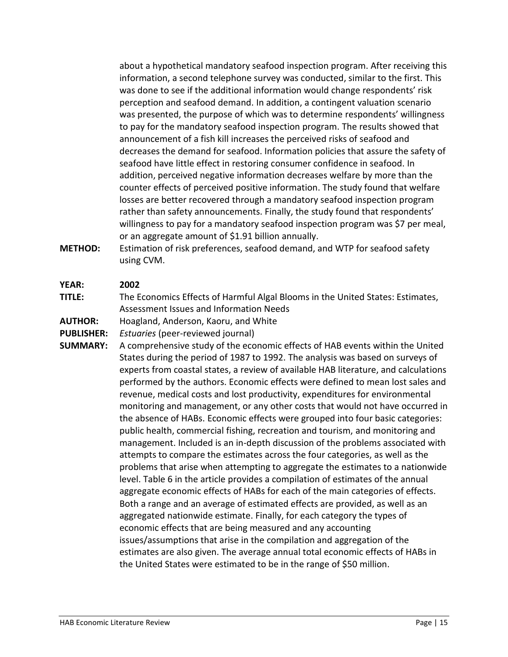about a hypothetical mandatory seafood inspection program. After receiving this information, a second telephone survey was conducted, similar to the first. This was done to see if the additional information would change respondents' risk perception and seafood demand. In addition, a contingent valuation scenario was presented, the purpose of which was to determine respondents' willingness to pay for the mandatory seafood inspection program. The results showed that announcement of a fish kill increases the perceived risks of seafood and decreases the demand for seafood. Information policies that assure the safety of seafood have little effect in restoring consumer confidence in seafood. In addition, perceived negative information decreases welfare by more than the counter effects of perceived positive information. The study found that welfare losses are better recovered through a mandatory seafood inspection program rather than safety announcements. Finally, the study found that respondents' willingness to pay for a mandatory seafood inspection program was \$7 per meal, or an aggregate amount of \$1.91 billion annually.

**METHOD:** Estimation of risk preferences, seafood demand, and WTP for seafood safety using CVM.

#### **YEAR: 2002**

**TITLE:** The Economics Effects of Harmful Algal Blooms in the United States: Estimates, Assessment Issues and Information Needs

**AUTHOR:** Hoagland, Anderson, Kaoru, and White

**PUBLISHER:** *Estuaries* (peer-reviewed journal)

**SUMMARY:** A comprehensive study of the economic effects of HAB events within the United States during the period of 1987 to 1992. The analysis was based on surveys of experts from coastal states, a review of available HAB literature, and calculations performed by the authors. Economic effects were defined to mean lost sales and revenue, medical costs and lost productivity, expenditures for environmental monitoring and management, or any other costs that would not have occurred in the absence of HABs. Economic effects were grouped into four basic categories: public health, commercial fishing, recreation and tourism, and monitoring and management. Included is an in-depth discussion of the problems associated with attempts to compare the estimates across the four categories, as well as the problems that arise when attempting to aggregate the estimates to a nationwide level. Table 6 in the article provides a compilation of estimates of the annual aggregate economic effects of HABs for each of the main categories of effects. Both a range and an average of estimated effects are provided, as well as an aggregated nationwide estimate. Finally, for each category the types of economic effects that are being measured and any accounting issues/assumptions that arise in the compilation and aggregation of the estimates are also given. The average annual total economic effects of HABs in the United States were estimated to be in the range of \$50 million.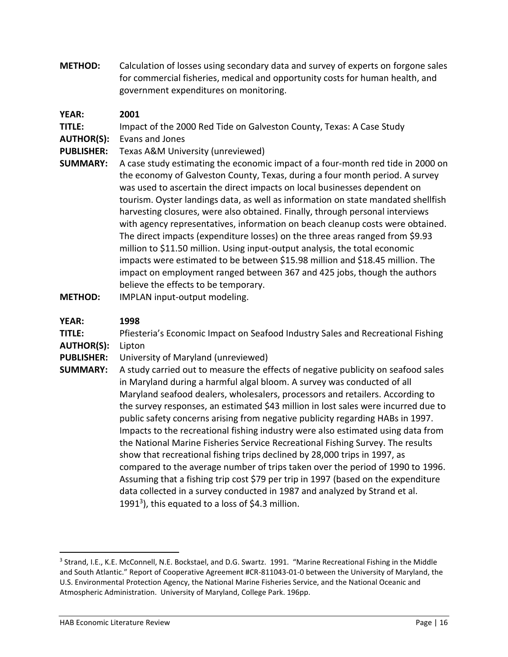**METHOD:** Calculation of losses using secondary data and survey of experts on forgone sales for commercial fisheries, medical and opportunity costs for human health, and government expenditures on monitoring.

#### **YEAR: 2001**

**TITLE:** Impact of the 2000 Red Tide on Galveston County, Texas: A Case Study

- **AUTHOR(S):** Evans and Jones
- **PUBLISHER:** Texas A&M University (unreviewed)
- **SUMMARY:** A case study estimating the economic impact of a four-month red tide in 2000 on the economy of Galveston County, Texas, during a four month period. A survey was used to ascertain the direct impacts on local businesses dependent on tourism. Oyster landings data, as well as information on state mandated shellfish harvesting closures, were also obtained. Finally, through personal interviews with agency representatives, information on beach cleanup costs were obtained. The direct impacts (expenditure losses) on the three areas ranged from \$9.93 million to \$11.50 million. Using input-output analysis, the total economic impacts were estimated to be between \$15.98 million and \$18.45 million. The impact on employment ranged between 367 and 425 jobs, though the authors believe the effects to be temporary.
- **METHOD:** IMPLAN input-output modeling.

#### **YEAR: 1998**

**TITLE:** Pfiesteria's Economic Impact on Seafood Industry Sales and Recreational Fishing **AUTHOR(S):** Lipton

**PUBLISHER:** University of Maryland (unreviewed)

**SUMMARY:** A study carried out to measure the effects of negative publicity on seafood sales in Maryland during a harmful algal bloom. A survey was conducted of all Maryland seafood dealers, wholesalers, processors and retailers. According to the survey responses, an estimated \$43 million in lost sales were incurred due to public safety concerns arising from negative publicity regarding HABs in 1997. Impacts to the recreational fishing industry were also estimated using data from the National Marine Fisheries Service Recreational Fishing Survey. The results show that recreational fishing trips declined by 28,000 trips in 1997, as compared to the average number of trips taken over the period of 1990 to 1996. Assuming that a fishing trip cost \$79 per trip in 1997 (based on the expenditure data collected in a survey conducted in 1987 and analyzed by Strand et al. 1991<sup>3</sup>), this equated to a loss of \$4.3 million.

 $\overline{a}$ 

<sup>&</sup>lt;sup>3</sup> Strand, I.E., K.E. McConnell, N.E. Bockstael, and D.G. Swartz. 1991. "Marine Recreational Fishing in the Middle and South Atlantic." Report of Cooperative Agreement #CR-811043-01-0 between the University of Maryland, the U.S. Environmental Protection Agency, the National Marine Fisheries Service, and the National Oceanic and Atmospheric Administration. University of Maryland, College Park. 196pp.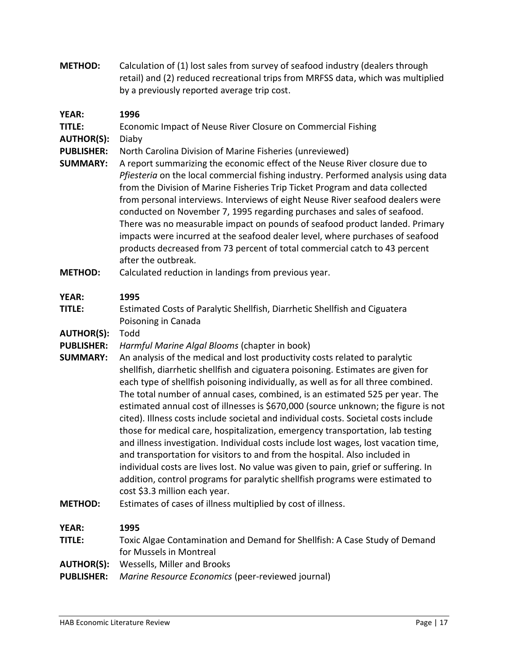**METHOD:** Calculation of (1) lost sales from survey of seafood industry (dealers through retail) and (2) reduced recreational trips from MRFSS data, which was multiplied by a previously reported average trip cost.

#### **YEAR: 1996**

**TITLE:** Economic Impact of Neuse River Closure on Commercial Fishing

**AUTHOR(S):** Diaby

**PUBLISHER:** North Carolina Division of Marine Fisheries (unreviewed)

- **SUMMARY:** A report summarizing the economic effect of the Neuse River closure due to *Pfiesteria* on the local commercial fishing industry. Performed analysis using data from the Division of Marine Fisheries Trip Ticket Program and data collected from personal interviews. Interviews of eight Neuse River seafood dealers were conducted on November 7, 1995 regarding purchases and sales of seafood. There was no measurable impact on pounds of seafood product landed. Primary impacts were incurred at the seafood dealer level, where purchases of seafood products decreased from 73 percent of total commercial catch to 43 percent after the outbreak.
- **METHOD:** Calculated reduction in landings from previous year.

#### **YEAR: 1995**

**TITLE:** Estimated Costs of Paralytic Shellfish, Diarrhetic Shellfish and Ciguatera Poisoning in Canada

- **AUTHOR(S):** Todd
- **PUBLISHER:** *Harmful Marine Algal Blooms* (chapter in book)
- **SUMMARY:** An analysis of the medical and lost productivity costs related to paralytic shellfish, diarrhetic shellfish and ciguatera poisoning. Estimates are given for each type of shellfish poisoning individually, as well as for all three combined. The total number of annual cases, combined, is an estimated 525 per year. The estimated annual cost of illnesses is \$670,000 (source unknown; the figure is not cited). Illness costs include societal and individual costs. Societal costs include those for medical care, hospitalization, emergency transportation, lab testing and illness investigation. Individual costs include lost wages, lost vacation time, and transportation for visitors to and from the hospital. Also included in individual costs are lives lost. No value was given to pain, grief or suffering. In addition, control programs for paralytic shellfish programs were estimated to cost \$3.3 million each year.
- **METHOD:** Estimates of cases of illness multiplied by cost of illness.

#### **YEAR: 1995**

**TITLE:** Toxic Algae Contamination and Demand for Shellfish: A Case Study of Demand for Mussels in Montreal

- **AUTHOR(S):** Wessells, Miller and Brooks
- **PUBLISHER:** *Marine Resource Economics* (peer-reviewed journal)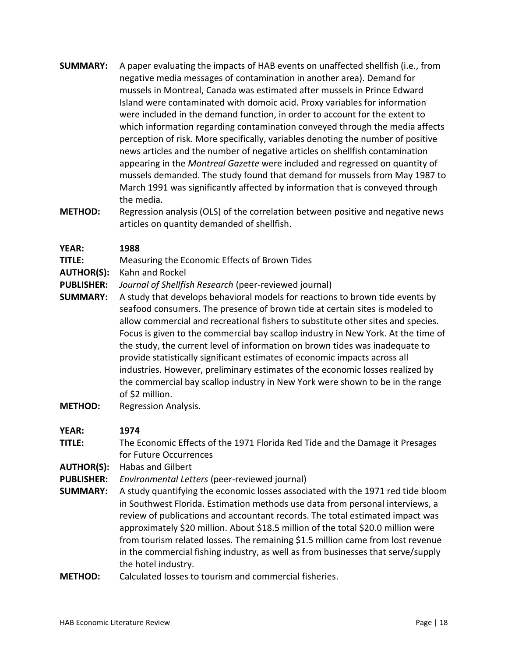- **SUMMARY:** A paper evaluating the impacts of HAB events on unaffected shellfish (i.e., from negative media messages of contamination in another area). Demand for mussels in Montreal, Canada was estimated after mussels in Prince Edward Island were contaminated with domoic acid. Proxy variables for information were included in the demand function, in order to account for the extent to which information regarding contamination conveyed through the media affects perception of risk. More specifically, variables denoting the number of positive news articles and the number of negative articles on shellfish contamination appearing in the *Montreal Gazette* were included and regressed on quantity of mussels demanded. The study found that demand for mussels from May 1987 to March 1991 was significantly affected by information that is conveyed through the media.
- **METHOD:** Regression analysis (OLS) of the correlation between positive and negative news articles on quantity demanded of shellfish.

- **TITLE:** Measuring the Economic Effects of Brown Tides
- **AUTHOR(S):** Kahn and Rockel
- **PUBLISHER:** *Journal of Shellfish Research* (peer-reviewed journal)
- **SUMMARY:** A study that develops behavioral models for reactions to brown tide events by seafood consumers. The presence of brown tide at certain sites is modeled to allow commercial and recreational fishers to substitute other sites and species. Focus is given to the commercial bay scallop industry in New York. At the time of the study, the current level of information on brown tides was inadequate to provide statistically significant estimates of economic impacts across all industries. However, preliminary estimates of the economic losses realized by the commercial bay scallop industry in New York were shown to be in the range of \$2 million.
- **METHOD:** Regression Analysis.

#### **YEAR: 1974**

- **TITLE:** The Economic Effects of the 1971 Florida Red Tide and the Damage it Presages for Future Occurrences
- **AUTHOR(S):** Habas and Gilbert
- **PUBLISHER:** *Environmental Letters* (peer-reviewed journal)
- **SUMMARY:** A study quantifying the economic losses associated with the 1971 red tide bloom in Southwest Florida. Estimation methods use data from personal interviews, a review of publications and accountant records. The total estimated impact was approximately \$20 million. About \$18.5 million of the total \$20.0 million were from tourism related losses. The remaining \$1.5 million came from lost revenue in the commercial fishing industry, as well as from businesses that serve/supply the hotel industry.
- **METHOD:** Calculated losses to tourism and commercial fisheries.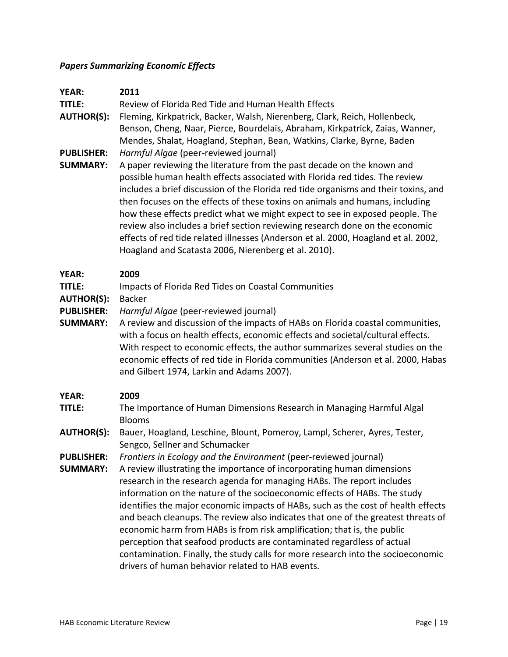#### *Papers Summarizing Economic Effects*

| <b>YEAR:</b>      | 2011                                                                                |
|-------------------|-------------------------------------------------------------------------------------|
| <b>TITLE:</b>     | Review of Florida Red Tide and Human Health Effects                                 |
| <b>AUTHOR(S):</b> | Fleming, Kirkpatrick, Backer, Walsh, Nierenberg, Clark, Reich, Hollenbeck,          |
|                   | Benson, Cheng, Naar, Pierce, Bourdelais, Abraham, Kirkpatrick, Zaias, Wanner,       |
|                   | Mendes, Shalat, Hoagland, Stephan, Bean, Watkins, Clarke, Byrne, Baden              |
| <b>PUBLISHER:</b> | Harmful Algae (peer-reviewed journal)                                               |
| <b>SUMMARY:</b>   | A paper reviewing the literature from the past decade on the known and              |
|                   | possible human health effects associated with Florida red tides. The review         |
|                   | includes a brief discussion of the Florida red tide organisms and their toxins, and |
|                   | then focuses on the effects of these toxins on animals and humans, including        |
|                   | how these effects predict what we might expect to see in exposed people. The        |
|                   | review also includes a brief section reviewing research done on the economic        |
|                   | effects of red tide related illnesses (Anderson et al. 2000, Hoagland et al. 2002,  |
|                   | Hoagland and Scatasta 2006, Nierenberg et al. 2010).                                |
|                   |                                                                                     |

#### **YEAR: 2009**

| <b>TITLE:</b> | Impacts of Florida Red Tides on Coastal Communities |
|---------------|-----------------------------------------------------|
|---------------|-----------------------------------------------------|

**AUTHOR(S):** Backer

**PUBLISHER:** *Harmful Algae* (peer-reviewed journal)

**SUMMARY:** A review and discussion of the impacts of HABs on Florida coastal communities, with a focus on health effects, economic effects and societal/cultural effects. With respect to economic effects, the author summarizes several studies on the economic effects of red tide in Florida communities (Anderson et al. 2000, Habas and Gilbert 1974, Larkin and Adams 2007).

#### **YEAR: 2009**

- **TITLE:** The Importance of Human Dimensions Research in Managing Harmful Algal Blooms
- **AUTHOR(S):** Bauer, Hoagland, Leschine, Blount, Pomeroy, Lampl, Scherer, Ayres, Tester, Sengco, Sellner and Schumacker
- **PUBLISHER:** *Frontiers in Ecology and the Environment* (peer-reviewed journal)
- **SUMMARY:** A review illustrating the importance of incorporating human dimensions research in the research agenda for managing HABs. The report includes information on the nature of the socioeconomic effects of HABs. The study identifies the major economic impacts of HABs, such as the cost of health effects and beach cleanups. The review also indicates that one of the greatest threats of economic harm from HABs is from risk amplification; that is, the public perception that seafood products are contaminated regardless of actual contamination. Finally, the study calls for more research into the socioeconomic drivers of human behavior related to HAB events.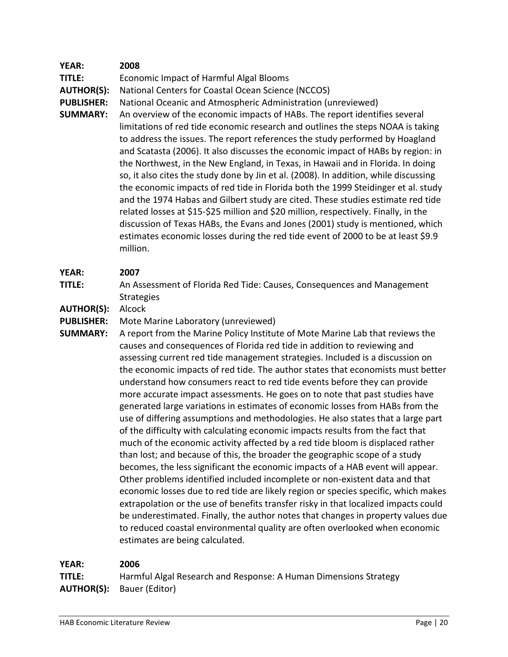**TITLE:** Economic Impact of Harmful Algal Blooms

**AUTHOR(S):** National Centers for Coastal Ocean Science (NCCOS)

**PUBLISHER:** National Oceanic and Atmospheric Administration (unreviewed)

**SUMMARY:** An overview of the economic impacts of HABs. The report identifies several limitations of red tide economic research and outlines the steps NOAA is taking to address the issues. The report references the study performed by Hoagland and Scatasta (2006). It also discusses the economic impact of HABs by region: in the Northwest, in the New England, in Texas, in Hawaii and in Florida. In doing so, it also cites the study done by Jin et al. (2008). In addition, while discussing the economic impacts of red tide in Florida both the 1999 Steidinger et al. study and the 1974 Habas and Gilbert study are cited. These studies estimate red tide related losses at \$15-\$25 million and \$20 million, respectively. Finally, in the discussion of Texas HABs, the Evans and Jones (2001) study is mentioned, which estimates economic losses during the red tide event of 2000 to be at least \$9.9 million.

#### **YEAR: 2007**

**TITLE:** An Assessment of Florida Red Tide: Causes, Consequences and Management Strategies

**AUTHOR(S):** Alcock

**PUBLISHER:** Mote Marine Laboratory (unreviewed)

**SUMMARY:** A report from the Marine Policy Institute of Mote Marine Lab that reviews the causes and consequences of Florida red tide in addition to reviewing and assessing current red tide management strategies. Included is a discussion on the economic impacts of red tide. The author states that economists must better understand how consumers react to red tide events before they can provide more accurate impact assessments. He goes on to note that past studies have generated large variations in estimates of economic losses from HABs from the use of differing assumptions and methodologies. He also states that a large part of the difficulty with calculating economic impacts results from the fact that much of the economic activity affected by a red tide bloom is displaced rather than lost; and because of this, the broader the geographic scope of a study becomes, the less significant the economic impacts of a HAB event will appear. Other problems identified included incomplete or non-existent data and that economic losses due to red tide are likely region or species specific, which makes extrapolation or the use of benefits transfer risky in that localized impacts could be underestimated. Finally, the author notes that changes in property values due to reduced coastal environmental quality are often overlooked when economic estimates are being calculated.

## **YEAR: 2006 TITLE:** Harmful Algal Research and Response: A Human Dimensions Strategy **AUTHOR(S):** Bauer (Editor)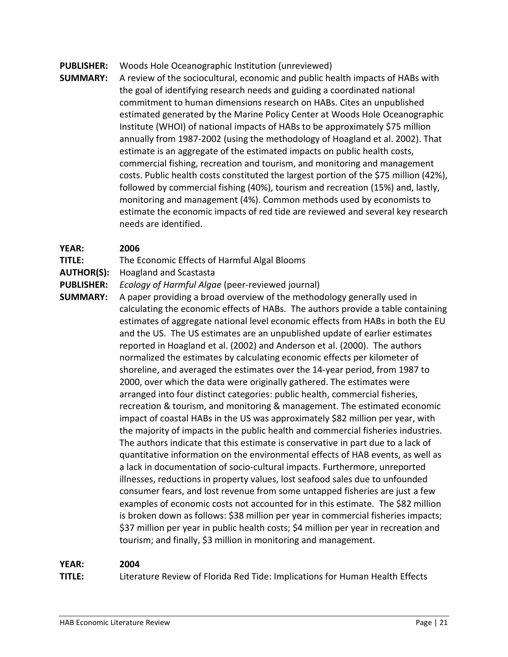#### **PUBLISHER:** Woods Hole Oceanographic Institution (unreviewed)

**SUMMARY:** A review of the sociocultural, economic and public health impacts of HABs with the goal of identifying research needs and guiding a coordinated national commitment to human dimensions research on HABs. Cites an unpublished estimated generated by the Marine Policy Center at Woods Hole Oceanographic Institute (WHOI) of national impacts of HABs to be approximately \$75 million annually from 1987-2002 (using the methodology of Hoagland et al. 2002). That estimate is an aggregate of the estimated impacts on public health costs, commercial fishing, recreation and tourism, and monitoring and management costs. Public health costs constituted the largest portion of the \$75 million (42%), followed by commercial fishing (40%), tourism and recreation (15%) and, lastly, monitoring and management (4%). Common methods used by economists to estimate the economic impacts of red tide are reviewed and several key research needs are identified.

#### **YEAR: 2006**

- **TITLE:** The Economic Effects of Harmful Algal Blooms
- **AUTHOR(S):** Hoagland and Scastasta
- **PUBLISHER:** *Ecology of Harmful Algae* (peer-reviewed journal)
- **SUMMARY:** A paper providing a broad overview of the methodology generally used in calculating the economic effects of HABs. The authors provide a table containing estimates of aggregate national level economic effects from HABs in both the EU and the US. The US estimates are an unpublished update of earlier estimates reported in Hoagland et al. (2002) and Anderson et al. (2000). The authors normalized the estimates by calculating economic effects per kilometer of shoreline, and averaged the estimates over the 14-year period, from 1987 to 2000, over which the data were originally gathered. The estimates were arranged into four distinct categories: public health, commercial fisheries, recreation & tourism, and monitoring & management. The estimated economic impact of coastal HABs in the US was approximately \$82 million per year, with the majority of impacts in the public health and commercial fisheries industries. The authors indicate that this estimate is conservative in part due to a lack of quantitative information on the environmental effects of HAB events, as well as a lack in documentation of socio-cultural impacts. Furthermore, unreported illnesses, reductions in property values, lost seafood sales due to unfounded consumer fears, and lost revenue from some untapped fisheries are just a few examples of economic costs not accounted for in this estimate. The \$82 million is broken down as follows: \$38 million per year in commercial fisheries impacts; \$37 million per year in public health costs; \$4 million per year in recreation and tourism; and finally, \$3 million in monitoring and management.

#### **YEAR: 2004**

**TITLE:** Literature Review of Florida Red Tide: Implications for Human Health Effects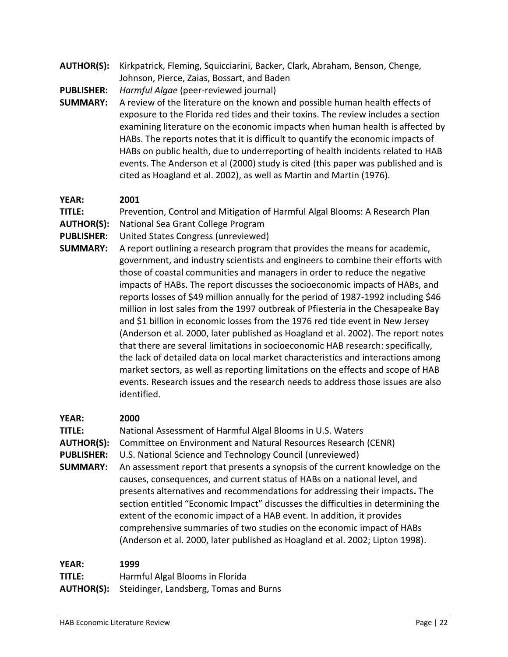**AUTHOR(S):** Kirkpatrick, Fleming, Squicciarini, Backer, Clark, Abraham, Benson, Chenge, Johnson, Pierce, Zaias, Bossart, and Baden

**PUBLISHER:** *Harmful Algae* (peer-reviewed journal)

**SUMMARY:** A review of the literature on the known and possible human health effects of exposure to the Florida red tides and their toxins. The review includes a section examining literature on the economic impacts when human health is affected by HABs. The reports notes that it is difficult to quantify the economic impacts of HABs on public health, due to underreporting of health incidents related to HAB events. The Anderson et al (2000) study is cited (this paper was published and is cited as Hoagland et al. 2002), as well as Martin and Martin (1976).

#### **YEAR: 2001**

**TITLE:** Prevention, Control and Mitigation of Harmful Algal Blooms: A Research Plan

- **AUTHOR(S):** National Sea Grant College Program
- **PUBLISHER:** United States Congress (unreviewed)
- **SUMMARY:** A report outlining a research program that provides the means for academic, government, and industry scientists and engineers to combine their efforts with those of coastal communities and managers in order to reduce the negative impacts of HABs. The report discusses the socioeconomic impacts of HABs, and reports losses of \$49 million annually for the period of 1987-1992 including \$46 million in lost sales from the 1997 outbreak of Pfiesteria in the Chesapeake Bay and \$1 billion in economic losses from the 1976 red tide event in New Jersey (Anderson et al. 2000, later published as Hoagland et al. 2002). The report notes that there are several limitations in socioeconomic HAB research: specifically, the lack of detailed data on local market characteristics and interactions among market sectors, as well as reporting limitations on the effects and scope of HAB events. Research issues and the research needs to address those issues are also identified.

#### **YEAR: 2000**

| YLAR:                  | 2000                                                                                                                                                                                                                                                                                                                                                                                                                                                                                                                                                              |
|------------------------|-------------------------------------------------------------------------------------------------------------------------------------------------------------------------------------------------------------------------------------------------------------------------------------------------------------------------------------------------------------------------------------------------------------------------------------------------------------------------------------------------------------------------------------------------------------------|
| TITLE:                 | National Assessment of Harmful Algal Blooms in U.S. Waters                                                                                                                                                                                                                                                                                                                                                                                                                                                                                                        |
| <b>AUTHOR(S):</b>      | Committee on Environment and Natural Resources Research (CENR)                                                                                                                                                                                                                                                                                                                                                                                                                                                                                                    |
| <b>PUBLISHER:</b>      | U.S. National Science and Technology Council (unreviewed)                                                                                                                                                                                                                                                                                                                                                                                                                                                                                                         |
| <b>SUMMARY:</b>        | An assessment report that presents a synopsis of the current knowledge on the<br>causes, consequences, and current status of HABs on a national level, and<br>presents alternatives and recommendations for addressing their impacts. The<br>section entitled "Economic Impact" discusses the difficulties in determining the<br>extent of the economic impact of a HAB event. In addition, it provides<br>comprehensive summaries of two studies on the economic impact of HABs<br>(Anderson et al. 2000, later published as Hoagland et al. 2002; Lipton 1998). |
| <b>YEAR:</b><br>TITLE: | 1999<br>Harmful Algal Blooms in Florida                                                                                                                                                                                                                                                                                                                                                                                                                                                                                                                           |

**AUTHOR(S):** Steidinger, Landsberg, Tomas and Burns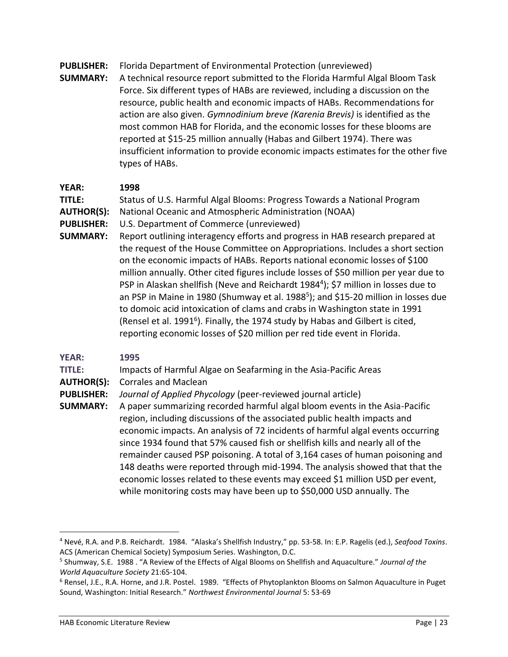- **PUBLISHER:** Florida Department of Environmental Protection (unreviewed)
- **SUMMARY:** A technical resource report submitted to the Florida Harmful Algal Bloom Task Force. Six different types of HABs are reviewed, including a discussion on the resource, public health and economic impacts of HABs. Recommendations for action are also given. *Gymnodinium breve (Karenia Brevis)* is identified as the most common HAB for Florida, and the economic losses for these blooms are reported at \$15-25 million annually (Habas and Gilbert 1974). There was insufficient information to provide economic impacts estimates for the other five types of HABs.

**TITLE:** Status of U.S. Harmful Algal Blooms: Progress Towards a National Program

- **AUTHOR(S):** National Oceanic and Atmospheric Administration (NOAA)
- **PUBLISHER:** U.S. Department of Commerce (unreviewed)
- **SUMMARY:** Report outlining interagency efforts and progress in HAB research prepared at the request of the House Committee on Appropriations. Includes a short section on the economic impacts of HABs. Reports national economic losses of \$100 million annually. Other cited figures include losses of \$50 million per year due to PSP in Alaskan shellfish (Neve and Reichardt 1984<sup>4</sup>); \$7 million in losses due to an PSP in Maine in 1980 (Shumway et al. 1988<sup>5</sup>); and \$15-20 million in losses due to domoic acid intoxication of clams and crabs in Washington state in 1991 (Rensel et al. 1991<sup>6</sup>). Finally, the 1974 study by Habas and Gilbert is cited, reporting economic losses of \$20 million per red tide event in Florida.

## **YEAR: 1995**

 $\overline{a}$ 

#### **TITLE:** Impacts of Harmful Algae on Seafarming in the Asia-Pacific Areas

**AUTHOR(S):** Corrales and Maclean

#### **PUBLISHER:** *Journal of Applied Phycology* (peer-reviewed journal article)

**SUMMARY:** A paper summarizing recorded harmful algal bloom events in the Asia-Pacific region, including discussions of the associated public health impacts and economic impacts. An analysis of 72 incidents of harmful algal events occurring since 1934 found that 57% caused fish or shellfish kills and nearly all of the remainder caused PSP poisoning. A total of 3,164 cases of human poisoning and 148 deaths were reported through mid-1994. The analysis showed that that the economic losses related to these events may exceed \$1 million USD per event, while monitoring costs may have been up to \$50,000 USD annually. The

<sup>4</sup> Nevé, R.A. and P.B. Reichardt. 1984. "Alaska's Shellfish Industry," pp. 53-58. In: E.P. Ragelis (ed.), *Seafood Toxins*. ACS (American Chemical Society) Symposium Series. Washington, D.C.

<sup>5</sup> Shumway, S.E. 1988 . "A Review of the Effects of Algal Blooms on Shellfish and Aquaculture." *Journal of the World Aquaculture Society* 21:65-104.

<sup>6</sup> Rensel, J.E., R.A. Horne, and J.R. Postel. 1989. "Effects of Phytoplankton Blooms on Salmon Aquaculture in Puget Sound, Washington: Initial Research." *Northwest Environmental Journal* 5: 53-69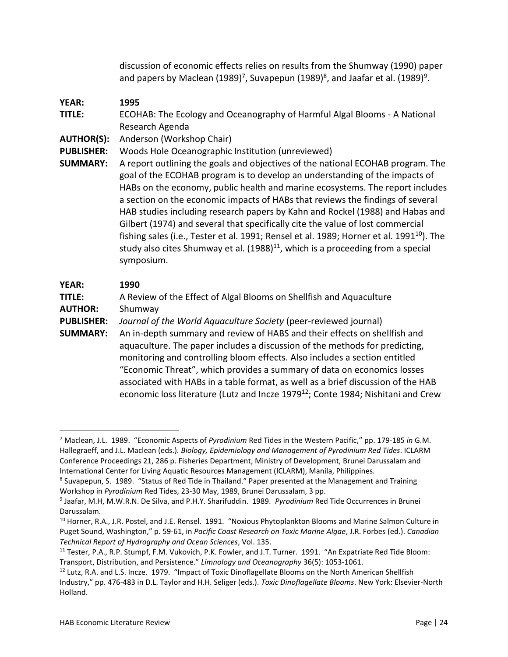discussion of economic effects relies on results from the Shumway (1990) paper and papers by Maclean (1989)<sup>7</sup>, Suvapepun (1989)<sup>8</sup>, and Jaafar et al. (1989)<sup>9</sup>.

- **YEAR: 1995 TITLE:** ECOHAB: The Ecology and Oceanography of Harmful Algal Blooms - A National Research Agenda
- **AUTHOR(S):** Anderson (Workshop Chair)
- **PUBLISHER:** Woods Hole Oceanographic Institution (unreviewed)
- **SUMMARY:** A report outlining the goals and objectives of the national ECOHAB program. The goal of the ECOHAB program is to develop an understanding of the impacts of HABs on the economy, public health and marine ecosystems. The report includes a section on the economic impacts of HABs that reviews the findings of several HAB studies including research papers by Kahn and Rockel (1988) and Habas and Gilbert (1974) and several that specifically cite the value of lost commercial fishing sales (i.e., Tester et al. 1991; Rensel et al. 1989; Horner et al. 1991 $^{10}$ ). The study also cites Shumway et al.  $(1988)^{11}$ , which is a proceeding from a special symposium.

## **YEAR: 1990**

l

**TITLE:** A Review of the Effect of Algal Blooms on Shellfish and Aquaculture **AUTHOR:** Shumway **PUBLISHER:** *Journal of the World Aquaculture Society* (peer-reviewed journal) **SUMMARY:** An in-depth summary and review of HABS and their effects on shellfish and aquaculture. The paper includes a discussion of the methods for predicting, monitoring and controlling bloom effects. Also includes a section entitled "Economic Threat", which provides a summary of data on economics losses associated with HABs in a table format, as well as a brief discussion of the HAB economic loss literature (Lutz and Incze 1979<sup>12</sup>; Conte 1984; Nishitani and Crew

<sup>7</sup> Maclean, J.L. 1989. "Economic Aspects of *Pyrodinium* Red Tides in the Western Pacific," pp. 179-185 *in* G.M. Hallegraeff, and J.L. Maclean (eds.). *Biology, Epidemiology and Management of Pyrodinium Red Tides*. ICLARM Conference Proceedings 21, 286 p. Fisheries Department, Ministry of Development, Brunei Darussalam and International Center for Living Aquatic Resources Management (ICLARM), Manila, Philippines.

<sup>&</sup>lt;sup>8</sup> Suvapepun, S. 1989. "Status of Red Tide in Thailand." Paper presented at the Management and Training Workshop in *Pyrodinium* Red Tides, 23-30 May, 1989, Brunei Darussalam, 3 pp.

<sup>9</sup> Jaafar, M.H, M.W.R.N. De Silva, and P.H.Y. Sharifuddin. 1989. *Pyrodinium* Red Tide Occurrences in Brunei Darussalam.

<sup>&</sup>lt;sup>10</sup> Horner, R.A., J.R. Postel, and J.E. Rensel. 1991. "Noxious Phytoplankton Blooms and Marine Salmon Culture in Puget Sound, Washington," p. 59-61, in *Pacific Coast Research on Toxic Marine Algae*, J.R. Forbes (ed.). *Canadian Technical Report of Hydrography and Ocean Sciences*, Vol. 135.

<sup>&</sup>lt;sup>11</sup> Tester, P.A., R.P. Stumpf, F.M. Vukovich, P.K. Fowler, and J.T. Turner. 1991. "An Expatriate Red Tide Bloom: Transport, Distribution, and Persistence." *Limnology and Oceanography* 36(5): 1053-1061.

<sup>&</sup>lt;sup>12</sup> Lutz, R.A. and L.S. Incze. 1979. "Impact of Toxic Dinoflagellate Blooms on the North American Shellfish Industry," pp. 476-483 in D.L. Taylor and H.H. Seliger (eds.). *Toxic Dinoflagellate Blooms*. New York: Elsevier-North Holland.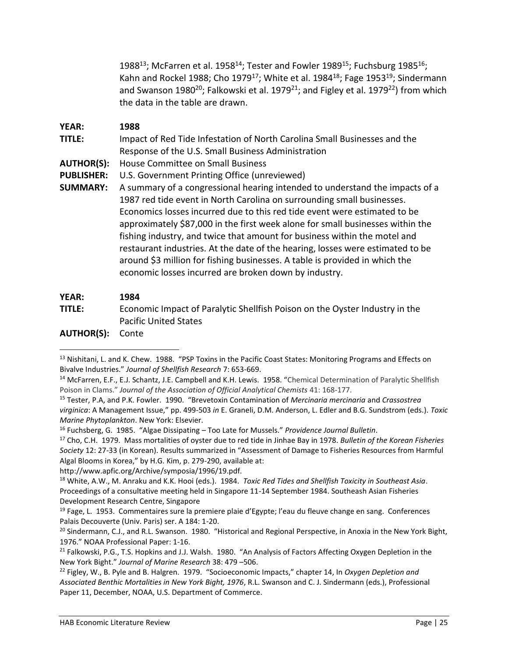1988<sup>13</sup>; McFarren et al. 1958<sup>14</sup>; Tester and Fowler 1989<sup>15</sup>; Fuchsburg 1985<sup>16</sup>; Kahn and Rockel 1988; Cho 1979<sup>17</sup>; White et al. 1984<sup>18</sup>; Fage 1953<sup>19</sup>; Sindermann and Swanson 1980<sup>20</sup>; Falkowski et al. 1979<sup>21</sup>; and Figley et al. 1979<sup>22</sup>) from which the data in the table are drawn.

#### **YEAR: 1988**

**TITLE:** Impact of Red Tide Infestation of North Carolina Small Businesses and the Response of the U.S. Small Business Administration

**AUTHOR(S):** House Committee on Small Business

**PUBLISHER:** U.S. Government Printing Office (unreviewed)

**SUMMARY:** A summary of a congressional hearing intended to understand the impacts of a 1987 red tide event in North Carolina on surrounding small businesses. Economics losses incurred due to this red tide event were estimated to be approximately \$87,000 in the first week alone for small businesses within the fishing industry, and twice that amount for business within the motel and restaurant industries. At the date of the hearing, losses were estimated to be around \$3 million for fishing businesses. A table is provided in which the economic losses incurred are broken down by industry.

#### **YEAR: 1984**

- **TITLE:** Economic Impact of Paralytic Shellfish Poison on the Oyster Industry in the Pacific United States
- **AUTHOR(S):** Conte

 $\overline{a}$ 

http://www.apfic.org/Archive/symposia/1996/19.pdf.

<sup>13</sup> Nishitani, L. and K. Chew. 1988. "PSP Toxins in the Pacific Coast States: Monitoring Programs and Effects on Bivalve Industries." *Journal of Shellfish Research* 7: 653-669.

<sup>&</sup>lt;sup>14</sup> McFarren, E.F., E.J. Schantz, J.E. Campbell and K.H. Lewis. 1958. "Chemical Determination of Paralytic Shellfish Poison in Clams." *Journal of the Association of Official Analytical Chemists* 41: 168-177.

<sup>15</sup> Tester, P.A, and P.K. Fowler. 1990. "Brevetoxin Contamination of *Mercinaria mercinaria* and *Crassostrea virginica*: A Management Issue," pp. 499-503 *in* E. Graneli, D.M. Anderson, L. Edler and B.G. Sundstrom (eds.). *Toxic Marine Phytoplankton*. New York: Elsevier.

<sup>16</sup> Fuchsberg, G. 1985. "Algae Dissipating – Too Late for Mussels." *Providence Journal Bulletin*.

<sup>17</sup> Cho, C.H. 1979. Mass mortalities of oyster due to red tide in Jinhae Bay in 1978. *Bulletin of the Korean Fisheries Society* 12: 27-33 (in Korean). Results summarized in "Assessment of Damage to Fisheries Resources from Harmful Algal Blooms in Korea," by H.G. Kim, p. 279-290, available at:

<sup>18</sup> White, A.W., M. Anraku and K.K. Hooi (eds.). 1984. *Toxic Red Tides and Shellfish Toxicity in Southeast Asia*. Proceedings of a consultative meeting held in Singapore 11-14 September 1984. Southeash Asian Fisheries Development Research Centre, Singapore

 $19$  Fage, L. 1953. Commentaires sure la premiere plaie d'Egypte; l'eau du fleuve change en sang. Conferences Palais Decouverte (Univ. Paris) ser. A 184: 1-20.

 $^{20}$  Sindermann, C.J., and R.L. Swanson. 1980. "Historical and Regional Perspective, in Anoxia in the New York Bight, 1976." NOAA Professional Paper: 1-16.

<sup>&</sup>lt;sup>21</sup> Falkowski, P.G., T.S. Hopkins and J.J. Walsh. 1980. "An Analysis of Factors Affecting Oxygen Depletion in the New York Bight." *Journal of Marine Research* 38: 479 –506.

<sup>22</sup> Figley, W., B. Pyle and B. Halgren. 1979. "Socioeconomic Impacts," chapter 14, In *Oxygen Depletion and Associated Benthic Mortalities in New York Bight, 1976*, R.L. Swanson and C. J. Sindermann (eds.), Professional Paper 11, December, NOAA, U.S. Department of Commerce.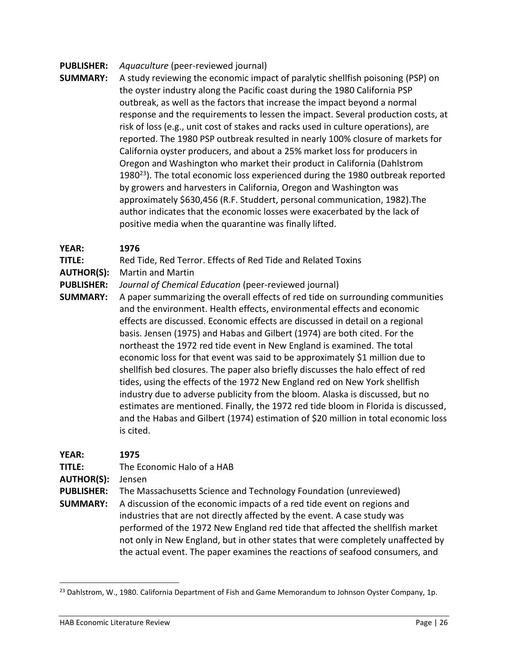#### **PUBLISHER:** *Aquaculture* (peer-reviewed journal)

**SUMMARY:** A study reviewing the economic impact of paralytic shellfish poisoning (PSP) on the oyster industry along the Pacific coast during the 1980 California PSP outbreak, as well as the factors that increase the impact beyond a normal response and the requirements to lessen the impact. Several production costs, at risk of loss (e.g., unit cost of stakes and racks used in culture operations), are reported. The 1980 PSP outbreak resulted in nearly 100% closure of markets for California oyster producers, and about a 25% market loss for producers in Oregon and Washington who market their product in California (Dahlstrom 1980 $^{23}$ ). The total economic loss experienced during the 1980 outbreak reported by growers and harvesters in California, Oregon and Washington was approximately \$630,456 (R.F. Studdert, personal communication, 1982).The author indicates that the economic losses were exacerbated by the lack of positive media when the quarantine was finally lifted.

#### **YEAR: 1976**

#### **TITLE:** Red Tide, Red Terror. Effects of Red Tide and Related Toxins

**AUTHOR(S):** Martin and Martin

#### **PUBLISHER:** *Journal of Chemical Education* (peer-reviewed journal)

**SUMMARY:** A paper summarizing the overall effects of red tide on surrounding communities and the environment. Health effects, environmental effects and economic effects are discussed. Economic effects are discussed in detail on a regional basis. Jensen (1975) and Habas and Gilbert (1974) are both cited. For the northeast the 1972 red tide event in New England is examined. The total economic loss for that event was said to be approximately \$1 million due to shellfish bed closures. The paper also briefly discusses the halo effect of red tides, using the effects of the 1972 New England red on New York shellfish industry due to adverse publicity from the bloom. Alaska is discussed, but no estimates are mentioned. Finally, the 1972 red tide bloom in Florida is discussed, and the Habas and Gilbert (1974) estimation of \$20 million in total economic loss is cited.

| <b>YEAR:</b>      | 1975                                                                            |
|-------------------|---------------------------------------------------------------------------------|
| TITLE:            | The Economic Halo of a HAB                                                      |
| <b>AUTHOR(S):</b> | Jensen                                                                          |
| <b>PUBLISHER:</b> | The Massachusetts Science and Technology Foundation (unreviewed)                |
| <b>SUMMARY:</b>   | A discussion of the economic impacts of a red tide event on regions and         |
|                   | industries that are not directly affected by the event. A case study was        |
|                   | performed of the 1972 New England red tide that affected the shellfish market   |
|                   | not only in New England, but in other states that were completely unaffected by |
|                   | the actual event. The paper examines the reactions of seafood consumers, and    |
|                   |                                                                                 |

 $^{23}$  Dahlstrom, W., 1980. California Department of Fish and Game Memorandum to Johnson Oyster Company, 1p.

 $\overline{\phantom{a}}$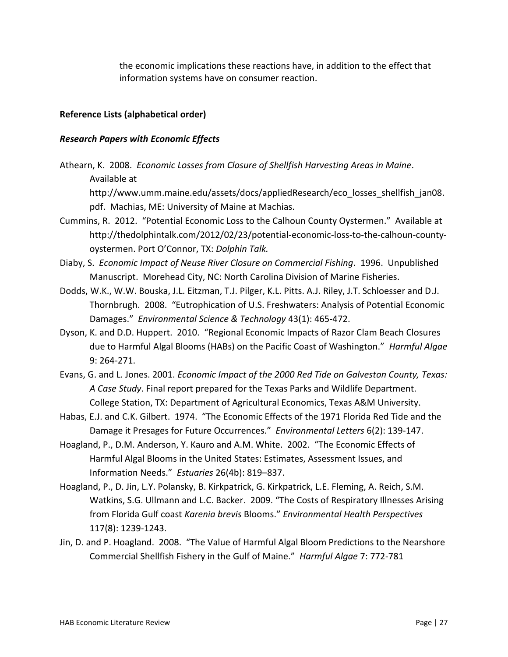the economic implications these reactions have, in addition to the effect that information systems have on consumer reaction.

### **Reference Lists (alphabetical order)**

### *Research Papers with Economic Effects*

- Athearn, K. 2008. *Economic Losses from Closure of Shellfish Harvesting Areas in Maine*. Available at http://www.umm.maine.edu/assets/docs/appliedResearch/eco\_losses\_shellfish\_jan08. pdf. Machias, ME: University of Maine at Machias.
- Cummins, R. 2012. "Potential Economic Loss to the Calhoun County Oystermen." Available at http://thedolphintalk.com/2012/02/23/potential-economic-loss-to-the-calhoun-countyoystermen. Port O'Connor, TX: *Dolphin Talk.*
- Diaby, S. *Economic Impact of Neuse River Closure on Commercial Fishing*. 1996. Unpublished Manuscript. Morehead City, NC: North Carolina Division of Marine Fisheries.
- Dodds, W.K., W.W. Bouska, J.L. Eitzman, T.J. Pilger, K.L. Pitts. A.J. Riley, J.T. Schloesser and D.J. Thornbrugh. 2008. "Eutrophication of U.S. Freshwaters: Analysis of Potential Economic Damages." *Environmental Science & Technology* 43(1): 465-472.
- Dyson, K. and D.D. Huppert. 2010. "Regional Economic Impacts of Razor Clam Beach Closures due to Harmful Algal Blooms (HABs) on the Pacific Coast of Washington." *Harmful Algae* 9: 264-271.
- Evans, G. and L. Jones. 2001. *Economic Impact of the 2000 Red Tide on Galveston County, Texas: A Case Study*. Final report prepared for the Texas Parks and Wildlife Department. College Station, TX: Department of Agricultural Economics, Texas A&M University.
- Habas, E.J. and C.K. Gilbert. 1974. "The Economic Effects of the 1971 Florida Red Tide and the Damage it Presages for Future Occurrences." *Environmental Letters* 6(2): 139-147.
- Hoagland, P., D.M. Anderson, Y. Kauro and A.M. White. 2002. "The Economic Effects of Harmful Algal Blooms in the United States: Estimates, Assessment Issues, and Information Needs." *Estuaries* 26(4b): 819–837.
- Hoagland, P., D. Jin, L.Y. Polansky, B. Kirkpatrick, G. Kirkpatrick, L.E. Fleming, A. Reich, S.M. Watkins, S.G. Ullmann and L.C. Backer. 2009. "The Costs of Respiratory Illnesses Arising from Florida Gulf coast *Karenia brevis* Blooms." *Environmental Health Perspectives* 117(8): 1239-1243.
- Jin, D. and P. Hoagland. 2008. "The Value of Harmful Algal Bloom Predictions to the Nearshore Commercial Shellfish Fishery in the Gulf of Maine." *Harmful Algae* 7: 772-781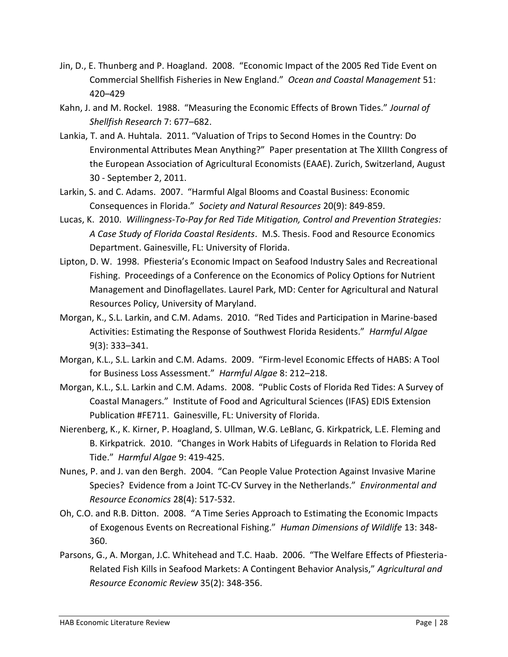- Jin, D., E. Thunberg and P. Hoagland. 2008. "Economic Impact of the 2005 Red Tide Event on Commercial Shellfish Fisheries in New England." *Ocean and Coastal Management* 51: 420–429
- Kahn, J. and M. Rockel. 1988. "Measuring the Economic Effects of Brown Tides." *Journal of Shellfish Research* 7: 677–682.
- Lankia, T. and A. Huhtala. 2011. "Valuation of Trips to Second Homes in the Country: Do Environmental Attributes Mean Anything?" Paper presentation at The XIIIth Congress of the European Association of Agricultural Economists (EAAE). Zurich, Switzerland, August 30 - September 2, 2011.
- Larkin, S. and C. Adams. 2007. "Harmful Algal Blooms and Coastal Business: Economic Consequences in Florida." *Society and Natural Resources* 20(9): 849-859.
- Lucas, K. 2010. *Willingness-To-Pay for Red Tide Mitigation, Control and Prevention Strategies: A Case Study of Florida Coastal Residents*. M.S. Thesis. Food and Resource Economics Department. Gainesville, FL: University of Florida.
- Lipton, D. W. 1998. Pfiesteria's Economic Impact on Seafood Industry Sales and Recreational Fishing. Proceedings of a Conference on the Economics of Policy Options for Nutrient Management and Dinoflagellates. Laurel Park, MD: Center for Agricultural and Natural Resources Policy, University of Maryland.
- Morgan, K., S.L. Larkin, and C.M. Adams. 2010. "Red Tides and Participation in Marine-based Activities: Estimating the Response of Southwest Florida Residents." *Harmful Algae* 9(3): 333–341.
- Morgan, K.L., S.L. Larkin and C.M. Adams. 2009. "Firm-level Economic Effects of HABS: A Tool for Business Loss Assessment." *Harmful Algae* 8: 212–218.
- Morgan, K.L., S.L. Larkin and C.M. Adams. 2008. "Public Costs of Florida Red Tides: A Survey of Coastal Managers." Institute of Food and Agricultural Sciences (IFAS) EDIS Extension Publication #FE711. Gainesville, FL: University of Florida.
- Nierenberg, K., K. Kirner, P. Hoagland, S. Ullman, W.G. LeBlanc, G. Kirkpatrick, L.E. Fleming and B. Kirkpatrick. 2010. "Changes in Work Habits of Lifeguards in Relation to Florida Red Tide." *Harmful Algae* 9: 419-425.
- Nunes, P. and J. van den Bergh. 2004. "Can People Value Protection Against Invasive Marine Species? Evidence from a Joint TC-CV Survey in the Netherlands." *Environmental and Resource Economics* 28(4): 517-532.
- Oh, C.O. and R.B. Ditton. 2008. "A Time Series Approach to Estimating the Economic Impacts of Exogenous Events on Recreational Fishing." *Human Dimensions of Wildlife* 13: 348- 360.
- Parsons, G., A. Morgan, J.C. Whitehead and T.C. Haab. 2006. "The Welfare Effects of Pfiesteria-Related Fish Kills in Seafood Markets: A Contingent Behavior Analysis," *Agricultural and Resource Economic Review* 35(2): 348-356.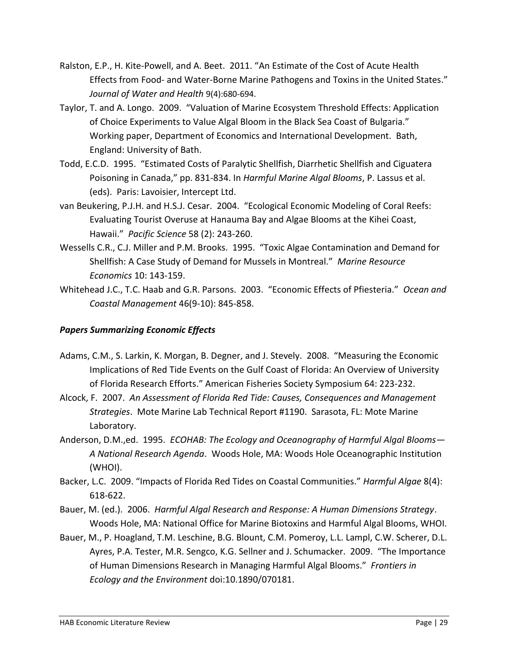- Ralston, E.P., H. Kite-Powell, and A. Beet. 2011. "An Estimate of the Cost of Acute Health Effects from Food- and Water-Borne Marine Pathogens and Toxins in the United States." *Journal of Water and Health* 9(4):680-694.
- Taylor, T. and A. Longo. 2009. "Valuation of Marine Ecosystem Threshold Effects: Application of Choice Experiments to Value Algal Bloom in the Black Sea Coast of Bulgaria." Working paper, Department of Economics and International Development. Bath, England: University of Bath.
- Todd, E.C.D. 1995. "Estimated Costs of Paralytic Shellfish, Diarrhetic Shellfish and Ciguatera Poisoning in Canada," pp. 831-834. In *Harmful Marine Algal Blooms*, P. Lassus et al. (eds). Paris: Lavoisier, Intercept Ltd.
- van Beukering, P.J.H. and H.S.J. Cesar. 2004. "Ecological Economic Modeling of Coral Reefs: Evaluating Tourist Overuse at Hanauma Bay and Algae Blooms at the Kihei Coast, Hawaii." *Pacific Science* 58 (2): 243-260.
- Wessells C.R., C.J. Miller and P.M. Brooks. 1995. "Toxic Algae Contamination and Demand for Shellfish: A Case Study of Demand for Mussels in Montreal." *Marine Resource Economics* 10: 143-159.
- Whitehead J.C., T.C. Haab and G.R. Parsons. 2003. "Economic Effects of Pfiesteria." *Ocean and Coastal Management* 46(9-10): 845-858.

## *Papers Summarizing Economic Effects*

- Adams, C.M., S. Larkin, K. Morgan, B. Degner, and J. Stevely. 2008. "Measuring the Economic Implications of Red Tide Events on the Gulf Coast of Florida: An Overview of University of Florida Research Efforts." American Fisheries Society Symposium 64: 223-232.
- Alcock, F. 2007. *An Assessment of Florida Red Tide: Causes, Consequences and Management Strategies*. Mote Marine Lab Technical Report #1190. Sarasota, FL: Mote Marine Laboratory.
- Anderson, D.M.,ed. 1995. *ECOHAB: The Ecology and Oceanography of Harmful Algal Blooms— A National Research Agenda*. Woods Hole, MA: Woods Hole Oceanographic Institution (WHOI).
- Backer, L.C. 2009. "Impacts of Florida Red Tides on Coastal Communities." *Harmful Algae* 8(4): 618-622.
- Bauer, M. (ed.). 2006. *Harmful Algal Research and Response: A Human Dimensions Strategy*. Woods Hole, MA: National Office for Marine Biotoxins and Harmful Algal Blooms, WHOI.
- Bauer, M., P. Hoagland, T.M. Leschine, B.G. Blount, C.M. Pomeroy, L.L. Lampl, C.W. Scherer, D.L. Ayres, P.A. Tester, M.R. Sengco, K.G. Sellner and J. Schumacker. 2009. "The Importance of Human Dimensions Research in Managing Harmful Algal Blooms." *Frontiers in Ecology and the Environment* doi:10.1890/070181.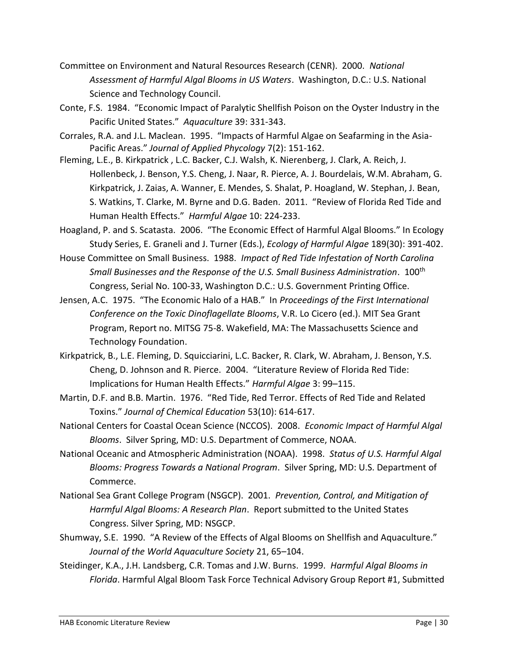- Committee on Environment and Natural Resources Research (CENR). 2000. *National Assessment of Harmful Algal Blooms in US Waters*. Washington, D.C.: U.S. National Science and Technology Council.
- Conte, F.S. 1984. "Economic Impact of Paralytic Shellfish Poison on the Oyster Industry in the Pacific United States." *Aquaculture* 39: 331-343.
- Corrales, R.A. and J.L. Maclean. 1995. "Impacts of Harmful Algae on Seafarming in the Asia-Pacific Areas." *Journal of Applied Phycology* 7(2): 151-162.
- Fleming, L.E., B. Kirkpatrick , L.C. Backer, C.J. Walsh, K. Nierenberg, J. Clark, A. Reich, J. Hollenbeck, J. Benson, Y.S. Cheng, J. Naar, R. Pierce, A. J. Bourdelais, W.M. Abraham, G. Kirkpatrick, J. Zaias, A. Wanner, E. Mendes, S. Shalat, P. Hoagland, W. Stephan, J. Bean, S. Watkins, T. Clarke, M. Byrne and D.G. Baden. 2011. "Review of Florida Red Tide and Human Health Effects." *Harmful Algae* 10: 224-233.
- Hoagland, P. and S. Scatasta. 2006. "The Economic Effect of Harmful Algal Blooms." In Ecology Study Series, E. Graneli and J. Turner (Eds.), *Ecology of Harmful Algae* 189(30): 391-402.
- House Committee on Small Business. 1988. *Impact of Red Tide Infestation of North Carolina Small Businesses and the Response of the U.S. Small Business Administration*. 100th Congress, Serial No. 100-33, Washington D.C.: U.S. Government Printing Office.
- Jensen, A.C. 1975. "The Economic Halo of a HAB." In *Proceedings of the First International Conference on the Toxic Dinoflagellate Blooms*, V.R. Lo Cicero (ed.). MIT Sea Grant Program, Report no. MITSG 75-8. Wakefield, MA: The Massachusetts Science and Technology Foundation.
- Kirkpatrick, B., L.E. Fleming, D. Squicciarini, L.C. Backer, R. Clark, W. Abraham, J. Benson, Y.S. Cheng, D. Johnson and R. Pierce. 2004. "Literature Review of Florida Red Tide: Implications for Human Health Effects." *Harmful Algae* 3: 99–115.
- Martin, D.F. and B.B. Martin. 1976. "Red Tide, Red Terror. Effects of Red Tide and Related Toxins." *Journal of Chemical Education* 53(10): 614-617.
- National Centers for Coastal Ocean Science (NCCOS). 2008. *Economic Impact of Harmful Algal Blooms*. Silver Spring, MD: U.S. Department of Commerce, NOAA.
- National Oceanic and Atmospheric Administration (NOAA). 1998. *Status of U.S. Harmful Algal Blooms: Progress Towards a National Program*. Silver Spring, MD: U.S. Department of Commerce.
- National Sea Grant College Program (NSGCP). 2001. *Prevention, Control, and Mitigation of Harmful Algal Blooms: A Research Plan*. Report submitted to the United States Congress. Silver Spring, MD: NSGCP.
- Shumway, S.E. 1990. "A Review of the Effects of Algal Blooms on Shellfish and Aquaculture." *Journal of the World Aquaculture Society* 21, 65–104.
- Steidinger, K.A., J.H. Landsberg, C.R. Tomas and J.W. Burns. 1999. *Harmful Algal Blooms in Florida*. Harmful Algal Bloom Task Force Technical Advisory Group Report #1, Submitted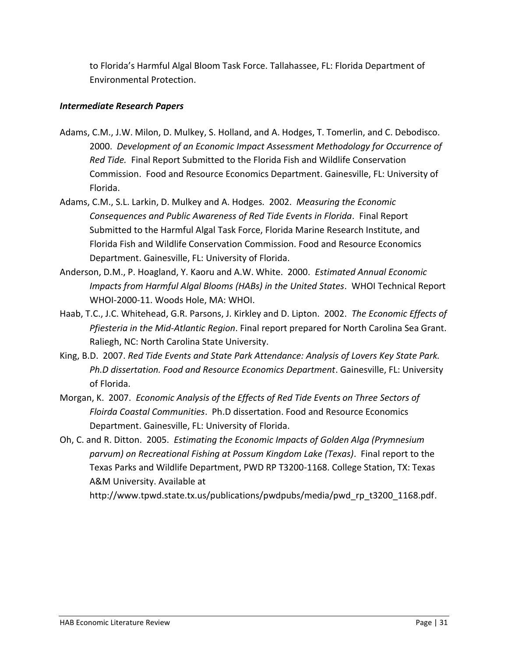to Florida's Harmful Algal Bloom Task Force. Tallahassee, FL: Florida Department of Environmental Protection.

#### *Intermediate Research Papers*

- Adams, C.M., J.W. Milon, D. Mulkey, S. Holland, and A. Hodges, T. Tomerlin, and C. Debodisco. 2000. *Development of an Economic Impact Assessment Methodology for Occurrence of Red Tide.* Final Report Submitted to the Florida Fish and Wildlife Conservation Commission. Food and Resource Economics Department. Gainesville, FL: University of Florida.
- Adams, C.M., S.L. Larkin, D. Mulkey and A. Hodges. 2002. *Measuring the Economic Consequences and Public Awareness of Red Tide Events in Florida*. Final Report Submitted to the Harmful Algal Task Force, Florida Marine Research Institute, and Florida Fish and Wildlife Conservation Commission. Food and Resource Economics Department. Gainesville, FL: University of Florida.
- Anderson, D.M., P. Hoagland, Y. Kaoru and A.W. White. 2000. *Estimated Annual Economic Impacts from Harmful Algal Blooms (HABs) in the United States*. WHOI Technical Report WHOI-2000-11. Woods Hole, MA: WHOI.
- Haab, T.C., J.C. Whitehead, G.R. Parsons, J. Kirkley and D. Lipton. 2002. *The Economic Effects of Pfiesteria in the Mid-Atlantic Region*. Final report prepared for North Carolina Sea Grant. Raliegh, NC: North Carolina State University.
- King, B.D. 2007. *Red Tide Events and State Park Attendance: Analysis of Lovers Key State Park. Ph.D dissertation. Food and Resource Economics Department*. Gainesville, FL: University of Florida.
- Morgan, K. 2007. *Economic Analysis of the Effects of Red Tide Events on Three Sectors of Floirda Coastal Communities*. Ph.D dissertation. Food and Resource Economics Department. Gainesville, FL: University of Florida.
- Oh, C. and R. Ditton. 2005. *Estimating the Economic Impacts of Golden Alga (Prymnesium parvum) on Recreational Fishing at Possum Kingdom Lake (Texas)*. Final report to the Texas Parks and Wildlife Department, PWD RP T3200-1168. College Station, TX: Texas A&M University. Available at

[http://www.tpwd.state.tx.us/publications/pwdpubs/media/pwd\\_rp\\_t3200\\_1168.pdf.](http://www.tpwd.state.tx.us/publications/pwdpubs/media/pwd_rp_t3200_1168.pdf)